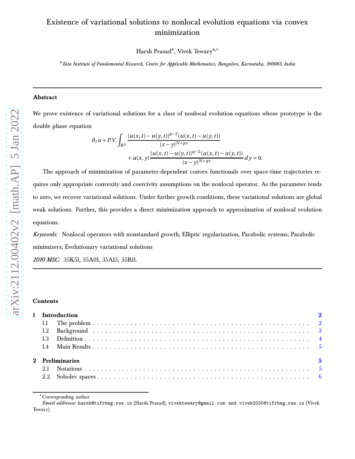# Existence of variational solutions to nonlocal evolution equations via convex minimization

Harsh Prasad<sup>a</sup>, Vivek Tewary<sup>a,</sup>\*

*<sup>a</sup>Tata Institute of Fundamental Research, Centre for Applicable Mathematics, Bangalore, Karnataka, 560065, India*

### **Abstract**

We prove existence of variational solutions for a class of nonlocal evolution equations whose prototype is the double phase equation

$$
\partial_t u + P.V. \int_{\mathbb{R}^N} \frac{|u(x,t) - u(y,t)|^{p-2} (u(x,t) - u(y,t))}{|x - y|^{N+ps}} \n+ a(x,y) \frac{|u(x,t) - u(y,t)|^{q-2} (u(x,t) - u(y,t))}{|x - y|^{N+qs}} dy = 0.
$$

The approach of minimization of parameter-dependent convex functionals over space-time trajectories requires only appropriate convexity and coercivity assumptions on the nonlocal operator. As the parameter tends to zero, we recover variational solutions. Under further growth conditions, these variational solutions are global weak solutions. Further, this provides a direct minimization approach to approximation of nonlocal evolution equations.

*Keywords:* Nonlocal operators with nonstandard growth, Elliptic regularization, Parabolic systems; Parabolic minimizers; Evolutionary variational solutions

*2010 MSC:* 35K51, 35A01, 35A15, 35R11.

#### **Contents**

| 1 Introduction              |  |  |  |  |
|-----------------------------|--|--|--|--|
|                             |  |  |  |  |
|                             |  |  |  |  |
|                             |  |  |  |  |
|                             |  |  |  |  |
| $\sim$ 5<br>2 Preliminaries |  |  |  |  |
|                             |  |  |  |  |
|                             |  |  |  |  |

<sup>∗</sup>Corresponding author

*Email addresses:* harsh@tifrbng.res.in (Harsh Prasad), vivektewary@gmail.com and vivek2020@tifrbng.res.in (Vivek Tewary)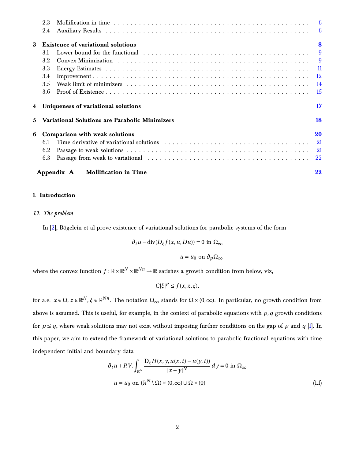<span id="page-1-3"></span>

|              | 2.3 |                                                       |                |
|--------------|-----|-------------------------------------------------------|----------------|
|              | 2.4 |                                                       |                |
| 3            |     | <b>Existence of variational solutions</b>             | 8              |
|              | 3.1 |                                                       | $\overline{9}$ |
|              | 3.2 |                                                       |                |
|              | 3.3 |                                                       |                |
|              | 3.4 |                                                       |                |
|              | 3.5 |                                                       |                |
|              | 3.6 |                                                       | - 15           |
|              |     | Uniqueness of variational solutions                   | 17             |
| $\mathbf{5}$ |     | <b>Variational Solutions are Parabolic Minimizers</b> | 18             |
| 6            |     | Comparison with weak solutions                        | 20             |
|              | 6.1 |                                                       |                |
|              | 6.2 |                                                       |                |
|              | 6.3 |                                                       |                |
|              |     | Appendix A<br><b>Mollification in Time</b>            | 22             |

## <span id="page-1-1"></span><span id="page-1-0"></span>**1. Introduction**

## *1.1. The problem*

In [\[2](#page-24-0)], Bögelein et al prove existence of variational solutions for parabolic systems of the form

$$
\partial_t u - \text{div}(D_{\xi} f(x, u, Du)) = 0 \text{ in } \Omega_{\infty}
$$

 $u = u_0$  on  $\partial_p \Omega_\infty$ 

where the convex function  $f: \mathbb{R} \times \mathbb{R}^N \times \mathbb{R}^{Nn} \to \mathbb{R}$  satisfies a growth condition from below, viz,

<span id="page-1-2"></span>*C*| $ξ|P$  ≤ *f*(*x*, *z*, *ξ*),

for a.e.  $x \in \Omega$ ,  $z \in \mathbb{R}^N$ ,  $\xi \in \mathbb{R}^{Nn}$ . The notation  $\Omega_\infty$  stands for  $\Omega \times (0,\infty)$ . In particular, no growth condition from above is assumed. This is useful, for example, in the context of parabolic equations with *p*,*q* growth conditions for  $p \leq q$ , where weak solutions may not exist without imposing further conditions on the gap of p and q [\[1\]](#page-24-1). In this paper, we aim to extend the framework of variational solutions to parabolic fractional equations with time independent initial and boundary data

$$
\partial_t u + P.V. \int_{\mathbb{R}^N} \frac{D_{\xi} H(x, y, u(x, t) - u(y, t))}{|x - y|^N} dy = 0 \text{ in } \Omega_{\infty}
$$
  

$$
u = u_0 \text{ on } (\mathbb{R}^N \setminus \Omega) \times (0, \infty) \cup \Omega \times \{0\}
$$
 (1.1)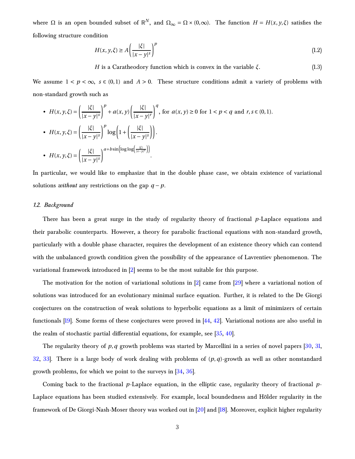<span id="page-2-3"></span>where  $\Omega$  is an open bounded subset of  $\mathbb{R}^N$ , and  $\Omega_{\infty} = \Omega \times (0, \infty)$ . The function  $H = H(x, y, \xi)$  satisfies the following structure condition

<span id="page-2-1"></span>
$$
H(x, y, \xi) \ge A \left(\frac{|\xi|}{|x - y|^s}\right)^p
$$
\n(1.2)

<span id="page-2-2"></span>*H* is a Caratheodory function which is convex in the variable *ξ*. (1.3)

We assume  $1 < p < \infty$ ,  $s \in (0,1)$  and  $A > 0$ . These structure conditions admit a variety of problems with non-standard growth such as

• 
$$
H(x, y, \xi) = \left(\frac{|\xi|}{|x - y|^s}\right)^p + a(x, y) \left(\frac{|\xi|}{|x - y|^r}\right)^q
$$
, for  $a(x, y) \ge 0$  for  $1 < p < q$  and  $r, s \in (0, 1)$ .  
\n•  $H(x, y, \xi) = \left(\frac{|\xi|}{|x - y|^s}\right)^p \log\left(1 + \left(\frac{|\xi|}{|x - y|^s}\right)\right)$ .  
\n•  $H(x, y, \xi) = \left(\frac{|\xi|}{|x - y|^s}\right)^{a + b \sin\left[\log\log\left(\frac{|\xi|}{|x - y|^s}\right)\right]}$ .

<span id="page-2-0"></span>In particular, we would like to emphasize that in the double phase case, we obtain existence of variational solutions *without* any restrictions on the gap  $q - p$ .

#### *1.2. Background*

There has been a great surge in the study of regularity theory of fractional *p*-Laplace equations and their parabolic counterparts. However, a theory for parabolic fractional equations with non-standard growth, particularly with a double phase character, requires the development of an existence theory which can contend with the unbalanced growth condition given the possibility of the appearance of Lavrentiev phenomenon. The variational framework introduced in [\[2](#page-24-0)] seems to be the most suitable for this purpose.

The motivation for the notion of variational solutions in [\[2](#page-24-0)] came from [\[29](#page-28-0)] where a variational notion of solutions was introduced for an evolutionary minimal surface equation. Further, it is related to the De Giorgi conjectures on the construction of weak solutions to hyperbolic equations as a limit of minimizers of certain functionals [\[19](#page-26-0)]. Some forms of these conjectures were proved in [\[44,](#page-29-0) [42](#page-29-1)]. Variational notions are also useful in the realm of stochastic partial differential equations, for example, see [\[35](#page-28-1), [40](#page-29-2)].

The regularity theory of *p*,*q* growth problems was started by Marcellini in a series of novel papers [\[30,](#page-28-2) [31,](#page-28-3) [32,](#page-28-4) [33](#page-28-5)]. There is a large body of work dealing with problems of (*p*,*q*)-growth as well as other nonstandard growth problems, for which we point to the surveys in [\[34](#page-28-6), [36](#page-28-7)].

Coming back to the fractional *p*-Laplace equation, in the elliptic case, regularity theory of fractional *p*-Laplace equations has been studied extensively. For example, local boundedness and Hölder regularity in the framework of De Giorgi-Nash-Moser theory was worked out in [\[20\]](#page-26-1) and [\[18\]](#page-26-2). Moreover, explicit higher regularity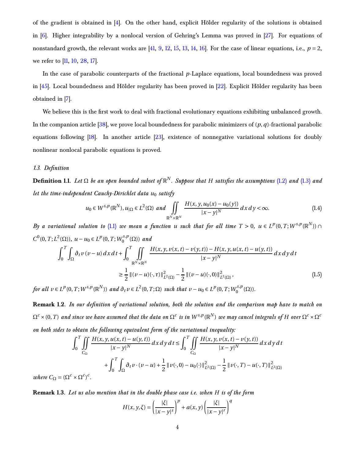<span id="page-3-3"></span>of the gradient is obtained in [\[4](#page-25-0)]. On the other hand, explicit Hölder regularity of the solutions is obtained in [\[6](#page-25-1)]. Higher integrability by a nonlocal version of Gehring's Lemma was proved in [\[27\]](#page-27-0). For equations of nonstandard growth, the relevant works are  $[41, 9, 12, 15, 13, 14, 16]$  $[41, 9, 12, 15, 13, 14, 16]$  $[41, 9, 12, 15, 13, 14, 16]$  $[41, 9, 12, 15, 13, 14, 16]$  $[41, 9, 12, 15, 13, 14, 16]$  $[41, 9, 12, 15, 13, 14, 16]$  $[41, 9, 12, 15, 13, 14, 16]$  $[41, 9, 12, 15, 13, 14, 16]$  $[41, 9, 12, 15, 13, 14, 16]$  $[41, 9, 12, 15, 13, 14, 16]$  $[41, 9, 12, 15, 13, 14, 16]$  $[41, 9, 12, 15, 13, 14, 16]$ . For the case of linear equations, i.e.,  $p = 2$ , we refer to [\[11](#page-26-8), [10,](#page-25-3) [28](#page-28-8), [17](#page-26-9)].

In the case of parabolic counterparts of the fractional *p*-Laplace equations, local boundedness was proved in [\[45\]](#page-30-0). Local boundedness and Hölder regularity has been proved in [\[22](#page-27-1)]. Explicit Hölder regularity has been obtained in [\[7](#page-25-4)].

We believe this is the first work to deal with fractional evolutionary equations exhibiting unbalanced growth. In the companion article [\[38](#page-29-4)], we prove local boundedness for parabolic minimizers of (*p*,*q*)-fractional parabolic equations following [\[18\]](#page-26-2). In another article [\[23\]](#page-27-2), existence of nonnegative variational solutions for doubly nonlinear nonlocal parabolic equations is proved.

#### <span id="page-3-0"></span>*1.3. Definition*

**Definition 1.1.** *Let* Ω *be an open bounded subset of* R *N . Suppose that H satisfies the assumptions* [\(1.2\)](#page-2-1) *and* [\(1.3\)](#page-2-2) *and let the time-independent Cauchy-Dirichlet data*  $u_0$  *satisfy* 

<span id="page-3-1"></span>
$$
u_0 \in W^{s,p}(\mathbb{R}^N), u_{|\Omega} \in L^2(\Omega) \text{ and } \iint\limits_{\mathbb{R}^N \times \mathbb{R}^N} \frac{H(x, y, u_0(x) - u_0(y))}{|x - y|^N} dx dy < \infty.
$$
 (1.4)

*By a variational solution to* [\(1.1\)](#page-1-2) *we mean a function <i>u* such that for all time T > 0,  $u \in L^p(0,T;W^{s,p}(\mathbb{R}^N))$   $\cap$  $C^0(0, T; L^2(\Omega))$ ,  $u - u_0 \in L^p(0, T; W_0^{s, p})$  $a_0^{s,p}(\Omega)$  and

$$
\int_{0}^{T} \int_{\Omega} \partial_{t} v \left(v - u\right) dx dt + \int_{0}^{T} \iint_{\mathbb{R}^{N} \times \mathbb{R}^{N}} \frac{H(x, y, v(x, t) - v(y, t)) - H(x, y, u(x, t) - u(y, t))}{|x - y|^{N}} dx dy dt
$$
\n
$$
\geq \frac{1}{2} \left\| (v - u)(\cdot, \tau) \right\|_{L^{2}(\Omega)}^{2} - \frac{1}{2} \left\| (v - u)(\cdot, 0) \right\|_{L^{2}(\Omega)}^{2}, \tag{1.5}
$$

for all  $v \in L^p(0,T;W^{s,p}(\mathbb{R}^N))$  and  $\partial_t v \in L^2(0,T;\Omega)$  such that  $v-u_0 \in L^p(0,T;W_0^{s,p}$  $\binom{s,p}{0}(\Omega)$ ).

**Remark 1.2.** *In our definition of variational solution, both the solution and the comparison map have to match on*  $\Omega^c\times(0,T)$  and since we have assumed that the data on  $\Omega^c$  is in  $W^{s,p}(\R^N)$  we may cancel integrals of H over  $\Omega^c\times\Omega^c$ *on both sides to obtain the following equivalent form of the variational inequality:*

$$
\int_{0}^{T} \iint_{C_{\Omega}} \frac{H(x, y, u(x, t) - u(y, t))}{|x - y|^N} dx dy dt \le \int_{0}^{T} \iint_{C_{\Omega}} \frac{H(x, y, v(x, t) - v(y, t))}{|x - y|^N} dx dy dt
$$

$$
+ \int_{0}^{T} \int_{\Omega} \partial_t v \cdot (v - u) + \frac{1}{2} ||v(\cdot, 0) - u_0(\cdot)||_{L^2(\Omega)}^2 - \frac{1}{2} ||v(\cdot, T) - u(\cdot, T)||_{L^2(\Omega)}^2
$$

*where*  $C_{\Omega} = (\Omega^c \times \Omega^c)^c$ .

**Remark 1.3.** *Let us also mention that in the double phase case i.e. when H is of the form*

<span id="page-3-2"></span>
$$
H(x, y, \xi) = \left(\frac{|\xi|}{|x - y|^s}\right)^p + a(x, y) \left(\frac{|\xi|}{|x - y|^r}\right)^q
$$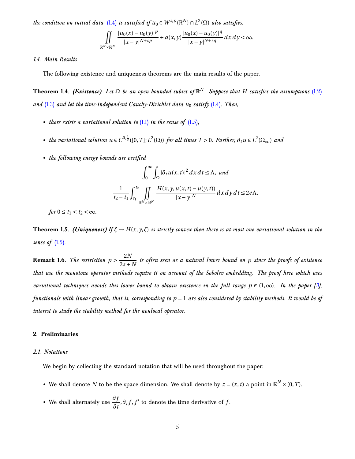<span id="page-4-5"></span>*the condition on initial data*  $(1.4)$  *is satisfied if*  $u_0 \in W^{s,p}(\mathbb{R}^N) \cap L^2(\Omega)$  *also satisfies*:

$$
\iint\limits_{\mathbb{R}^N\times\mathbb{R}^N}\frac{|u_0(x)-u_0(y)|^p}{|x-y|^{N+sp}}+a(x,y)\frac{|u_0(x)-u_0(y)|^q}{|x-y|^{N+rq}}\,dx\,dy<\infty.
$$

#### <span id="page-4-3"></span><span id="page-4-0"></span>*1.4. Main Results*

The following existence and uniqueness theorems are the main results of the paper.

**Theorem 1.4.** *(Existence) Let* Ω *be an open bounded subset of* R *N . Suppose that H satisfies the assumptions* [\(1.2\)](#page-2-1) *and* [\(1.3\)](#page-2-2) *and let the time-independent Cauchy-Dirichlet data u*<sup>0</sup> *satisfy* [\(1.4\)](#page-3-1)*. Then,*

- *there exists a variational solution to* [\(1.1\)](#page-1-2) *in the sense of* [\(1.5\)](#page-3-2)*,*
- the variational solution  $u \in C^{0,\frac{1}{2}}([0,T];L^2(\Omega))$  for all times  $T > 0$ . Further,  $\partial_t u \in L^2(\Omega_\infty)$  and
- *the following energy bounds are verified*

$$
\int_0^\infty \int_{\Omega} |\partial_t u(x,t)|^2 dx dt \le \Lambda, \text{ and}
$$

$$
\frac{1}{t_2 - t_1} \int_{t_1}^{t_2} \iint_{\mathbb{R}^N \times \mathbb{R}^N} \frac{H(x, y, u(x,t) - u(y,t))}{|x - y|^N} dx dy dt \le 2e\Lambda.
$$

<span id="page-4-4"></span>*for*  $0 \le t_1 < t_2 < \infty$ *.* 

**Theorem 1.5.** *(Uniqueness) If*  $\xi \rightarrow H(x, y, \xi)$  *is strictly convex then there is at most one variational solution in the sense of* [\(1.5\)](#page-3-2)*.*

**Remark 1.6.** *The restriction*  $p > \frac{2N}{2s+1}$  $\frac{21}{2s+N}$  is often seen as a natural lower bound on p since the proofs of existence *that use the monotone operator methods require it on account of the Sobolev embedding. The proof here which uses variational techniques avoids this lower bound to obtain existence in the full range*  $p \in (1,\infty)$ *. In the paper* [\[3\]](#page-25-5), *functionals with linear growth, that is, corresponding to p* = 1 *are also considered by stability methods. It would be of interest to study the stability method for the nonlocal operator.*

# <span id="page-4-2"></span><span id="page-4-1"></span>**2. Preliminaries**

#### *2.1. Notations*

We begin by collecting the standard notation that will be used throughout the paper:

- We shall denote *N* to be the space dimension. We shall denote by  $z = (x, t)$  a point in  $\mathbb{R}^N \times (0, T)$ .
- We shall alternately use  $\frac{\partial f}{\partial t}$ ,  $\partial_t f$ ,  $f'$  to denote the time derivative of  $f$ .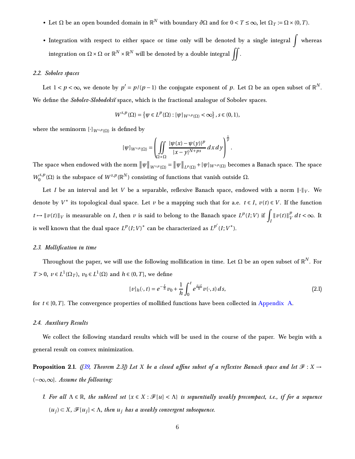- <span id="page-5-4"></span>• Let  $\Omega$  be an open bounded domain in  $\mathbb{R}^N$  with boundary  $\partial\Omega$  and for  $0 < T \leq \infty$ , let  $\Omega_T := \Omega \times (0, T)$ .
- Integration with respect to either space or time only will be denoted by a single integral  $\int$  whereas integration on  $\Omega\times\Omega$  or  $\mathbb{R}^N\times\mathbb{R}^N$  will be denoted by a double integral  $\iint.$

# <span id="page-5-0"></span>*2.2. Sobolev spaces*

Let  $1 < p < \infty$ , we denote by  $p' = p/(p-1)$  the conjugate exponent of  $p$ . Let  $\Omega$  be an open subset of  $\mathbb{R}^N$ . We define the *Sobolev-Slobodekii* space, which is the fractional analogue of Sobolev spaces.

$$
W^{s,p}(\Omega) = \left\{ \psi \in L^p(\Omega) : [\psi]_{W^{s,p}(\Omega)} < \infty \right\}, s \in (0,1),
$$

where the seminorm  $[\cdot]_{W^{s,p}(\Omega)}$  is defined by

$$
[\psi]_{W^{s,p}(\Omega)} = \left( \iint\limits_{\Omega \times \Omega} \frac{|\psi(x) - \psi(y)|^p}{|x - y|^{N+ps}} dx dy \right)^{\frac{1}{p}}.
$$

The space when endowed with the norm  $\|\psi\|_{W^{s,p}(\Omega)} = \|\psi\|_{L^p(\Omega)} + [\psi]_{W^{s,p}(\Omega)}$  becomes a Banach space. The space  $W_0^{s,p}$  $\int_0^{s,p}(\Omega)$  is the subspace of  $W^{s,p}(\mathbb{R}^N)$  consisting of functions that vanish outside  $\Omega.$ 

Let *I* be an interval and let *V* be a separable, reflexive Banach space, endowed with a norm  $\|\cdot\|_V$ . We denote by  $V^*$  its topological dual space. Let  $\nu$  be a mapping such that for a.e.  $t \in I$ ,  $\nu(t) \in V$ . If the function  $t \mapsto ||v(t)||_V$  is measurable on *I*, then *v* is said to belong to the Banach space  $L^p(I;V)$  if  $\int_I ||v(t)||_V^p$  $V_V$  *d t* < ∞. It is well known that the dual space  $L^p(I;V)^*$  can be characterized as  $L^{p'}(I;V^*).$ 

#### <span id="page-5-1"></span>*2.3. Mollification in time*

Throughout the paper, we will use the following mollification in time. Let  $\Omega$  be an open subset of  $\mathbb{R}^N$ . For *T* > 0,  $v \in L^1(\Omega_T)$ ,  $v_0 \in L^1(\Omega)$  and  $h \in (0, T]$ , we define

$$
[v]_h(\cdot, t) = e^{-\frac{t}{h}}v_0 + \frac{1}{h} \int_0^t e^{\frac{s-t}{h}} v(\cdot, s) ds,
$$
\n(2.1)

<span id="page-5-2"></span>for  $t \in [0, T]$ . The convergence properties of mollified functions have been collected in [Appendix A.](#page-21-1)

#### *2.4. Auxiliary Results*

<span id="page-5-3"></span>We collect the following standard results which will be used in the course of the paper. We begin with a general result on convex minimization.

**Proposition 2.1.** *(* $[39,$  Theorem 2.3]) Let *X* be a closed affine subset of a reflexive Banach space and let  $\mathcal{F}: X \rightarrow$ (−∞,∞]*. Assume the following:*

*1. For all*  $\Lambda \in \mathbb{R}$ , the sublevel set  $\{x \in X : \mathcal{F}[u] < \Lambda\}$  is sequentially weakly precompact, i.e., if for a sequence  $(u_j) \subset X$ ,  $\mathcal{F}[u_j] < \Lambda$ , then  $u_j$  has a weakly convergent subsequence.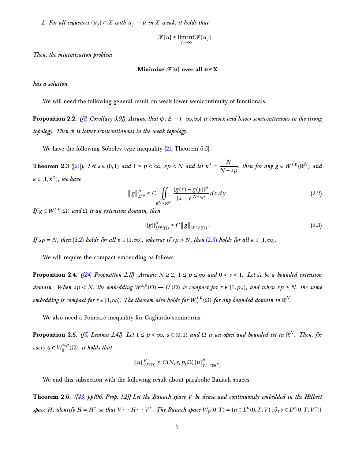<span id="page-6-5"></span>*2. For all sequences*  $(u_j)$  ⊂ *X with*  $u_j$  → *u in X-weak, it holds that* 

$$
\mathscr{F}[u] \le \liminf_{j \to \infty} \mathscr{F}[u_j].
$$

*Then, the minimization problem*

$$
\text{Minimize} \ \mathscr{F}[u] \ over \ all \ u \in X
$$

*has a solution.*

<span id="page-6-3"></span>We will need the following general result on weak lower semicontinuity of functionals.

**Proposition 2.2.** *(* $\beta$ , *Corollary 3.9] Assume that*  $\phi$  :  $E \rightarrow (-\infty, \infty]$  *is convex and lower semicontinuous in the strong topology. Then φ is lower semicontinuous in the weak topology.*

We have the following Sobolev-type inequality [\[21](#page-27-3), Theorem 6.5].

**Theorem 2.3** ([\[21\]](#page-27-3)). Let  $s \in (0,1)$  and  $1 \le p < \infty$ ,  $sp < N$  and let  $\kappa^* = \frac{N}{N-1}$  $\frac{N}{N - sp}$ , then for any  $g \in W^{s,p}(\mathbb{R}^N)$  and *κ* ∈ [1,*κ* ∗ ]*, we have*

$$
||g||_{L^{kp}}^p \le C \iint_{\mathbb{R}^N \times \mathbb{R}^N} \frac{|g(x) - g(y)|^p}{|x - y|^{N + sp}} dx dy.
$$
 (2.2)

 $\iint g \in W^{s,p}(\Omega)$  *and*  $\Omega$  *is an extension domain, then* 

<span id="page-6-1"></span><span id="page-6-0"></span>
$$
||g||_{L^{kp}(\Omega)}^p \le C ||g||_{W^{s,p}(\Omega)}.
$$
\n(2.3)

*If*  $sp = N$ *, then* [\(2.2\)](#page-6-0) *holds for all*  $\kappa \in [1, \infty)$ *, whereas if*  $sp > N$ *, then* [\(2.3\)](#page-6-1) *holds for all*  $\kappa \in [1, \infty]$ *.* 

We will require the compact embedding as follows.

**Proposition 2.4.** *([\[24,](#page-27-4) Proposition 2.1])* Assume  $N \geq 2$ ,  $1 \leq p \leq \infty$  and  $0 \leq s \leq 1$ . Let  $\Omega$  be a bounded extension *domain.* When  $sp < N$ , the embedding  $W^{s,p}(\Omega) \to L^r(\Omega)$  is compact for  $r \in [1,p_*)$ , and when  $sp \geq N$ , the same  $embedding$  is compact for  $r \in [1,\infty)$ . The theorem also holds for  $W_0^{s,p}$  $\int_0^{\epsilon,s,p}(\Omega)$  for any bounded domain in  $\mathbb{R}^N.$ 

<span id="page-6-2"></span>We also need a Poincaré inequality for Gagliardo seminorms.

**Proposition 2.5.** *([\[5](#page-25-7), Lemma 2.4])* Let  $1 \leq p < \infty$ ,  $s \in (0,1)$  and  $\Omega$  is an open and bounded set in  $\mathbb{R}^N$ . Then, for  $every u \in W_0^{s,p}$  $\int_0^{s,p}(\Omega)$ , it holds that

$$
||u||_{L^p(\Omega)}^p \leq C(N,s,p,\Omega) [u]_{W^{s,p}(\mathbb{R}^N)}^p
$$

<span id="page-6-4"></span>We end this subsection with the following result about parabolic Banach spaces.

**Theorem 2.6.** *([\[43](#page-29-6), pp106, Prop. 1.2]] Let the Banach space V be dense and continuously embedded in the Hilbert* space H; identify  $H = H^*$  so that  $V \hookrightarrow H \hookrightarrow V^*$ . The Banach space  $W_p(0,T) = \{u \in L^p(0,T;V) : \partial_t v \in L^p(0,T;V^*)\}$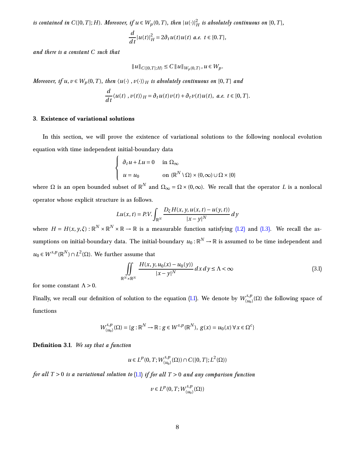*is contained in*  $C([0, T]; H)$ *. Moreover, if*  $u \in W_p(0, T)$ *, then*  $|u(\cdot)|_H^2$  *is absolutely continuous on*  $[0, T]$ *,* 

$$
\frac{d}{dt}|u(t)|_H^2 = 2\partial_t u(t)u(t) \ a.e. \ t \in [0,T],
$$

*and there is a constant C such that*

$$
||u||_{C([0,T];H)} \leq C ||u||_{W_p(0,T)}, u \in W_p.
$$

*Moreover, if*  $u, v \in W_p(0, T)$ *, then*  $\langle u(\cdot), v(\cdot) \rangle_H$  *is absolutely continuous on* [0,*T*] *and* 

$$
\frac{d}{dt}\langle u(t),v(t)\rangle_H=\partial_t u(t)v(t)+\partial_t v(t)u(t),\ a.e.\ t\in[0,T].
$$

#### <span id="page-7-0"></span>**3. Existence of variational solutions**

In this section, we will prove the existence of variational solutions to the following nonlocal evolution equation with time independent initial-boundary data

$$
\begin{cases} \n\partial_t u + Lu = 0 & \text{in } \Omega_\infty \\
u = u_0 & \text{on } (\mathbb{R}^N \setminus \Omega) \times (0, \infty) \cup \Omega \times \{0\} \n\end{cases}
$$

where  $\Omega$  is an open bounded subset of  $\mathbb{R}^N$  and  $\Omega_{\infty} = \Omega \times (0,\infty)$ . We recall that the operator *L* is a nonlocal operator whose explicit structure is as follows.

$$
Lu(x, t) = P.V. \int_{\mathbb{R}^N} \frac{D_{\xi} H(x, y, u(x, t) - u(y, t))}{|x - y|^N} dy
$$

where  $H = H(x, y, \xi) : \mathbb{R}^N \times \mathbb{R}^N \times \mathbb{R} \to \mathbb{R}$  is a measurable function satisfying [\(1.2\)](#page-2-1) and [\(1.3\).](#page-2-2) We recall the assumptions on initial-boundary data. The initial-boundary  $u_0:\mathbb{R}^N\to\mathbb{R}$  is assumed to be time independent and  $u_0$  ∈ *W*<sup>*s*,*p*</sup>(ℝ<sup>*N*</sup>)∩*L*<sup>2</sup>(Ω). We further assume that

<span id="page-7-1"></span>
$$
\iint\limits_{\mathbb{R}^N \times \mathbb{R}^N} \frac{H(x, y, u_0(x) - u_0(y))}{|x - y|^N} dx dy \le \Lambda < \infty
$$
\n(3.1)

for some constant  $\Lambda > 0$ .

Finally, we recall our definition of solution to the equation [\(1.1\)](#page-1-2). We denote by  $W_{(u_0)}^{s,p}$  $\binom{S,P}{(u_0)}(\Omega)$  the following space of functions

$$
W_{(u_0)}^{s,p}(\Omega) = \{g : \mathbb{R}^N \to \mathbb{R} : g \in W^{s,p}(\mathbb{R}^N), g(x) = u_0(x) \,\forall x \in \Omega^c\}
$$

**Definition 3.1.** *We say that a function*

$$
u\in L^p(0,T;W^{s,p}_{(u_0)}(\Omega))\cap C([0,T];L^2(\Omega))
$$

*for all T* > 0 *is a variational solution to* [\(1.1\)](#page-1-2) *if for all T* > 0 *and any comparison function*

$$
\upsilon\in L^p(0,T;W_{(u_0)}^{s,p}(\Omega))
$$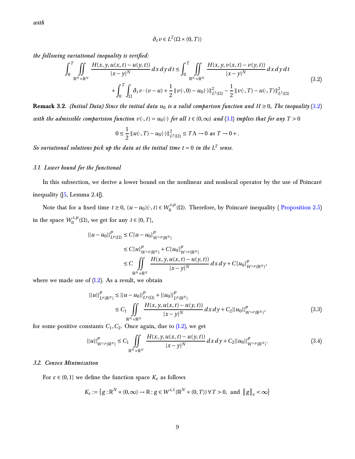<span id="page-8-4"></span>*with*

$$
\partial_t v \in L^2(\Omega \times (0, T))
$$

<span id="page-8-2"></span>*the following variational inequality is verified:*

$$
\int_{0}^{T} \iint_{\mathbb{R}^{N} \times \mathbb{R}^{N}} \frac{H(x, y, u(x, t) - u(y, t))}{|x - y|^{N}} dx dy dt \le \int_{0}^{T} \iint_{\mathbb{R}^{N} \times \mathbb{R}^{N}} \frac{H(x, y, v(x, t) - v(y, t))}{|x - y|^{N}} dx dy dt
$$
\n
$$
+ \int_{0}^{T} \int_{\Omega} \partial_{t} v \cdot (v - u) + \frac{1}{2} ||v(\cdot, 0) - u_{0}(\cdot)||^{2}_{L^{2}(\Omega)} - \frac{1}{2} ||v(\cdot, T) - u(\cdot, T)||^{2}_{L^{2}(\Omega)}
$$
\n
$$
(3.2)
$$

**Remark 3.2.** *(Initial Data) Since the initial data*  $u_0$  *is a valid comparison function and*  $H \ge 0$ *, The inequality* [\(3.2\)](#page-8-2) *with the admissible comparision function*  $v(\cdot, t) = u_0(\cdot)$  *for all*  $t \in (0, \infty)$  *and*  $(3.1)$  *implies that for any*  $T > 0$ 

$$
0 \leq \frac{1}{2} ||u(\cdot, T) - u_0(\cdot)||_{L^2(\Omega)}^2 \leq T\Lambda \to 0 \text{ as } T \to 0+.
$$

<span id="page-8-0"></span>*So variational solutions pick up the data at the initial time*  $t = 0$  *in the*  $L^2$  *sense.* 

# *3.1. Lower bound for the functional*

In this subsection, we derive a lower bound on the nonlinear and nonlocal operator by the use of Poincaré inequality([\[5,](#page-25-7) Lemma 2.4]).

Note that for a fixed time  $t \ge 0$ ,  $(u - u_0)(\cdot, t) \in W_0^{s,p}$  $\binom{0.5}{0}$  (Ω). Therefore, by Poincaré inequality ( [Proposition 2.5\)](#page-6-2) in the space  $W_0^{s,p}$  $t_0^{s,p}(\Omega)$ , we get for any  $t \in [0, T]$ ,

$$
\|u - u_0\|_{L^p(\Omega)}^p \le C[u - u_0]_{W^{s,p}(\mathbb{R}^N)}^p
$$
  
\n
$$
\le C[u]_{W^{s,p}(\mathbb{R}^N)}^p + C[u_0]_{W^{s,p}(\mathbb{R}^N)}^p
$$
  
\n
$$
\le C \iint_{\mathbb{R}^N \times \mathbb{R}^N} \frac{H(x, y, u(x, t) - u(y, t))}{|x - y|^N} dx dy + C[u_0]_{W^{s,p}(\mathbb{R}^N)}^p,
$$

where we made use of  $(1.2)$ . As a result, we obtain

$$
||u||_{L^{p}(\mathbb{R}^{N})}^{p} \leq ||u - u_{0}||_{L^{p}(\Omega)}^{p} + ||u_{0}||_{L^{p}(\mathbb{R}^{N})}^{p}
$$
  
\n
$$
\leq C_{1} \iint_{\mathbb{R}^{N} \times \mathbb{R}^{N}} \frac{H(x, y, u(x, t) - u(y, t))}{|x - y|^{N}} dx dy + C_{2}||u_{0}||_{W^{s, p}(\mathbb{R}^{N})}^{p},
$$
\n(3.3)

for some positive constants  $C_1$ ,  $C_2$ . Once again, due to  $(1.2)$ , we get

<span id="page-8-3"></span>
$$
||u||_{W^{s,p}(\mathbb{R}^N)}^p \leq C_1 \iint\limits_{\mathbb{R}^N \times \mathbb{R}^N} \frac{H(x,y,u(x,t) - u(y,t))}{|x - y|^N} dx dy + C_2 ||u_0||_{W^{s,p}(\mathbb{R}^N)}^p.
$$
 (3.4)

## <span id="page-8-1"></span>*3.2. Convex Minimization*

For  $\varepsilon \in (0,1]$  we define the function space  $K_{\varepsilon}$  as follows

$$
K_{\varepsilon} := \left\{ g : \mathbb{R}^N \times (0, \infty) \to \mathbb{R} : g \in W^{s,1}(\mathbb{R}^N \times (0, T)) \,\forall \, T > 0, \text{ and } \|g\|_{\varepsilon} < \infty \right\}
$$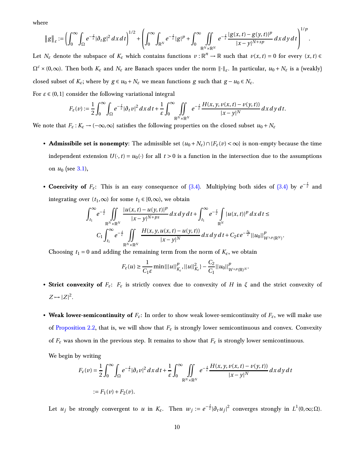where

$$
\|g\|_{\varepsilon}:=\left(\int_0^\infty\int_\Omega e^{-\frac{t}{\varepsilon}}|\partial_t g|^2\,dx\,dt\right)^{1/2}+\left(\int_0^\infty\int_{\mathbb{R}^N}e^{-\frac{t}{\varepsilon}}|g|^p+\int_0^\infty\iint_{\mathbb{R}^N\times\mathbb{R}^N}e^{-\frac{t}{\varepsilon}}\frac{|g(x,t)-g(y,t)|^p}{|x-y|^{N+sp}}\,dx\,dy\,dt\right)^{1/p}.
$$

Let  $N_{\varepsilon}$  denote the subspace of  $K_{\varepsilon}$  which contains functions  $v:\mathbb{R}^n\to\mathbb{R}$  such that  $v(x,t)=0$  for every  $(x,t)\in\mathbb{R}$  $\Omega^c \times (0,\infty)$ . Then both  $K_{\varepsilon}$  and  $N_{\varepsilon}$  are Banach spaces under the norm  $\|\cdot\|_{\varepsilon}$ . In particular,  $u_0 + N_{\varepsilon}$  is a (weakly) closed subset of  $K_{\varepsilon}$ ; where by  $g \in u_0 + N_{\varepsilon}$  we mean functions *g* such that  $g - u_0 \in N_{\varepsilon}$ .

For  $\varepsilon \in (0,1]$  consider the following variational integral

$$
F_{\varepsilon}(v) := \frac{1}{2} \int_0^{\infty} \int_{\Omega} e^{-\frac{t}{\varepsilon}} |\partial_t v|^2 dx dt + \frac{1}{\varepsilon} \int_0^{\infty} \iint_{\mathbb{R}^N \times \mathbb{R}^N} e^{-\frac{t}{\varepsilon}} \frac{H(x, y, v(x, t) - v(y, t))}{|x - y|^N} dx dy dt.
$$

We note that  $F_{\varepsilon}: K_{\varepsilon} \to (-\infty, \infty]$  satisfies the following properties on the closed subset  $u_0 + N_{\varepsilon}$ 

- **Admissibile set is nonempty:** The admissible set  $(u_0 + N_{\varepsilon}) \cap {F_{\varepsilon}(v) < \infty}$  is non-empty because the time independent extension  $U(\cdot, t) = u_0(\cdot)$  for all  $t > 0$  is a function in the intersection due to the assumptions on *u*<sup>0</sup> (see [3.1\)](#page-7-1),
- **Coercivity of**  $F_{\varepsilon}$ : This is an easy consequence of [\(3.4\).](#page-8-3) Multiplying both sides of [\(3.4\)](#page-8-3) by  $e^{-\frac{t}{\varepsilon}}$  and integrating over  $(t_1, \infty)$  for some  $t_1 \in [0, \infty)$ , we obtain

$$
\int_{t_1}^{\infty} e^{-\frac{t}{\varepsilon}} \iint_{\mathbb{R}^N \times \mathbb{R}^N} \frac{|u(x,t) - u(y,t)|^p}{|x - y|^{N+ps}} dx dy dt + \int_{t_1}^{\infty} e^{-\frac{t}{\varepsilon}} \int_{\mathbb{R}^N} |u(x,t)|^p dx dt \leq
$$
  

$$
C_1 \int_{t_1}^{\infty} e^{-\frac{t}{\varepsilon}} \iint_{\mathbb{R}^N \times \mathbb{R}^N} \frac{H(x,y,u(x,t) - u(y,t))}{|x - y|^N} dx dy dt + C_2 \varepsilon e^{-\frac{t_1}{\varepsilon}} ||u_0||_{W^{s,p}(\mathbb{R}^N)}^p.
$$

Choosing  $t_1 = 0$  and adding the remaining term from the norm of  $K_{\varepsilon}$ , we obtain

$$
F_{\varepsilon}(u) \geq \frac{1}{C_1 \varepsilon} \min \{ ||u||_{K_{\varepsilon}}^p, ||u||_{K_{\varepsilon}}^2 \} - \frac{C_2}{C_1} ||u_0||_{W^{s,p}(\mathbb{R})^N}^p.
$$

- **Strict convexity of** *Fε***:** *F<sup>ε</sup>* is strictly convex due to convexity of *H* in *ξ* and the strict convexity of  $Z \mapsto |Z|^2$ .
- Weak lower-semicontinuity of  $F_{\varepsilon}$ : In order to show weak lower-semicontinuity of  $F_{\varepsilon}$ , we will make use of [Proposition 2.2,](#page-6-3) that is, we will show that  $F_{\varepsilon}$  is strongly lower semicontinuous and convex. Convexity of  $F_{\varepsilon}$  was shown in the previous step. It remains to show that  $F_{\varepsilon}$  is strongly lower semicontinuous.

We begin by writing

$$
F_{\varepsilon}(v) = \frac{1}{2} \int_0^{\infty} \int_{\Omega} e^{-\frac{t}{\varepsilon}} |\partial_t v|^2 dx dt + \frac{1}{\varepsilon} \int_0^{\infty} \iint_{\mathbb{R}^N \times \mathbb{R}^N} e^{-\frac{t}{\varepsilon}} \frac{H(x, y, v(x, t) - v(y, t))}{|x - y|^N} dx dy dt
$$
  
 :=  $F_1(v) + F_2(v)$ .

Let *u<sub>j</sub>* be strongly convergent to *u* in  $K_{\varepsilon}$ . Then  $w_j := e^{-\frac{t}{\varepsilon}} |\partial_t u_j|^2$  converges strongly in  $L^1(0,\infty;\Omega)$ .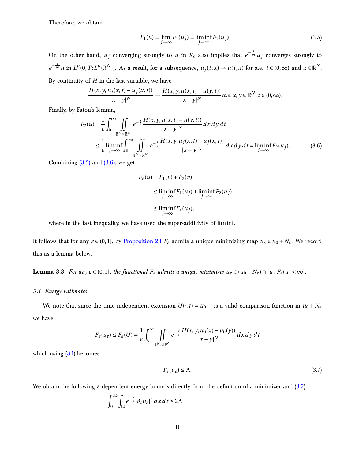Therefore, we obtain

<span id="page-10-1"></span>
$$
F_1(u) = \lim_{j \to \infty} F_1(u_j) = \liminf_{j \to \infty} F_1(u_j).
$$
 (3.5)

On the other hand,  $u_j$  converging strongly to *u* in  $K_{\varepsilon}$  also implies that  $e^{-\frac{t}{p\varepsilon}}u_j$  converges strongly to  $e^{-\frac{t}{pe}}u$  in  $L^p(0,T;L^p(\mathbb{R}^N))$ . As a result, for a subsequence,  $u_j(t,x) \to u(t,x)$  for a.e.  $t \in (0,\infty)$  and  $x \in \mathbb{R}^N$ . By continuity of *H* in the last variable, we have

$$
\frac{H(x, y, u_j(x, t) - u_j(x, t))}{|x - y|^N} \to \frac{H(x, y, u(x, t) - u(y, t))}{|x - y|^N} a.e. x, y \in \mathbb{R}^N, t \in (0, \infty).
$$

Finally, by Fatou's lemma,

$$
F_2(u) = \frac{1}{\varepsilon} \int_0^\infty \iint_{\mathbb{R}^N \times \mathbb{R}^N} e^{-\frac{t}{\varepsilon}} \frac{H(x, y, u(x, t) - u(y, t))}{|x - y|^N} dx dy dt
$$
  
\n
$$
\leq \frac{1}{\varepsilon} \liminf_{j \to \infty} \int_0^\infty \iint_{\mathbb{R}^N \times \mathbb{R}^N} e^{-\frac{t}{\varepsilon}} \frac{H(x, y, u_j(x, t) - u_j(x, t))}{|x - y|^N} dx dy dt = \liminf_{j \to \infty} F_2(u_j).
$$
 (3.6)

Combining  $(3.5)$  and  $(3.6)$ , we get

<span id="page-10-2"></span>
$$
F_{\varepsilon}(u) = F_1(v) + F_2(v)
$$
  
\n
$$
\leq \liminf_{j \to \infty} F_1(u_j) + \liminf_{j \to \infty} F_2(u_j)
$$
  
\n
$$
\leq \liminf_{j \to \infty} F_{\varepsilon}(u_j),
$$

where in the last inequality, we have used the super-additivity of liminf.

It follows that for any  $\varepsilon \in (0,1]$ , by [Proposition 2.1](#page-5-3)  $F_{\varepsilon}$  admits a unique minimizing map  $u_{\varepsilon} \in u_0 + N_{\varepsilon}$ . We record this as a lemma below.

<span id="page-10-0"></span>**Lemma 3.3.** For any  $\varepsilon \in (0,1]$ , the functional  $F_{\varepsilon}$  admits a unique minimizer  $u_{\varepsilon} \in (u_0 + N_{\varepsilon}) \cap \{u : F_{\varepsilon}(u) < \infty\}$ .

## *3.3. Energy Estimates*

We note that since the time independent extension  $U(\cdot, t) = u_0(\cdot)$  is a valid comparison function in  $u_0 + N_\varepsilon$ we have

$$
F_{\varepsilon}(u_{\varepsilon}) \le F_{\varepsilon}(U) = \frac{1}{\varepsilon} \int_0^{\infty} \iint\limits_{\mathbb{R}^N \times \mathbb{R}^N} e^{-\frac{t}{\varepsilon}} \frac{H(x, y, u_0(x) - u_0(y))}{|x - y|^N} dx dy dt
$$

which using  $(3.1)$  becomes

<span id="page-10-3"></span>
$$
F_{\varepsilon}(u_{\varepsilon}) \leq \Lambda. \tag{3.7}
$$

We obtain the following  $\varepsilon$  dependent energy bounds directly from the definition of a minimizer and [\(3.7\)](#page-10-3).

$$
\int_0^\infty \int_{\Omega} e^{-\frac{t}{\varepsilon}} |\partial_t u_\varepsilon|^2 dx dt \le 2\Lambda
$$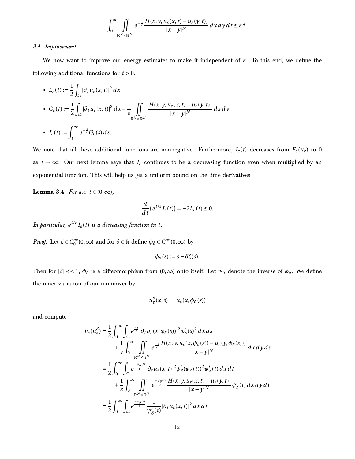$$
\int_0^\infty \iint_{\mathbb{R}^N\times\mathbb{R}^N} e^{-\frac{t}{\varepsilon}} \frac{H(x, y, u_\varepsilon(x, t) - u_\varepsilon(y, t))}{|x - y|^N} dx dy dt \leq \varepsilon \Lambda.
$$

#### <span id="page-11-0"></span>*3.4. Improvement*

We now want to improve our energy estimates to make it independent of *ε*. To this end, we define the following additional functions for *t* > 0.

• 
$$
L_{\varepsilon}(t) := \frac{1}{2} \int_{\Omega} |\partial_t u_{\varepsilon}(x, t)|^2 dx
$$
  
\n•  $G_{\varepsilon}(t) := \frac{1}{2} \int_{\Omega} |\partial_t u_{\varepsilon}(x, t)|^2 dx + \frac{1}{\varepsilon} \iint_{\mathbb{R}^N \times \mathbb{R}^N} \frac{H(x, y, u_{\varepsilon}(x, t) - u_{\varepsilon}(y, t))}{|x - y|^N} dx dy$   
\n•  $I_{\varepsilon}(t) := \int_{t}^{\infty} e^{-\frac{s}{\varepsilon}} G_{\varepsilon}(s) ds.$ 

We note that all these additional functions are nonnegative. Furthermore,  $I_{\varepsilon}(t)$  decreases from  $F_{\varepsilon}(u_{\varepsilon})$  to 0 as  $t \to \infty$ . Our next lemma says that  $I_{\varepsilon}$  continues to be a decreasing function even when multiplied by an exponential function. This will help us get a uniform bound on the time derivatives.

**Lemma 3.4.** *For a.e.*  $t \in (0, \infty)$ *,* 

$$
\frac{d}{dt}\left(e^{t/\varepsilon}I_{\varepsilon}(t)\right)=-2L_{\varepsilon}(t)\leq 0.
$$

In particular,  $e^{t/\varepsilon}I_{\varepsilon}(t)$  is a decreasing function in  $t.$ 

*Proof.* Let  $\xi \in C_0^{\infty}(0, \infty)$  and for  $\delta \in \mathbb{R}$  define  $\phi_{\delta} \in C^{\infty}(0, \infty)$  by

$$
\phi_{\delta}(s) := s + \delta \xi(s).
$$

Then for  $|\delta| \ll 1$ ,  $\phi_{\delta}$  is a diffeomorphism from  $(0, \infty)$  onto itself. Let  $\psi_{\delta}$  denote the inverse of  $\phi_{\delta}$ . We define the inner variation of our minimizer by

$$
u_{\varepsilon}^{\delta}(x,s) := u_{\varepsilon}(x,\phi_{\delta}(s))
$$

and compute

$$
F_{\varepsilon}(u_{\varepsilon}^{\delta}) = \frac{1}{2} \int_{0}^{\infty} \int_{\Omega} e^{\frac{-s}{\varepsilon}} |\partial_{t} u_{\varepsilon}(x, \phi_{\delta}(s))|^{2} \phi_{\delta}'(s)^{2} dx ds
$$
  
+ 
$$
\frac{1}{\varepsilon} \int_{0}^{\infty} \iint_{\mathbb{R}^{N} \times \mathbb{R}^{N}} e^{\frac{-s}{\varepsilon}} \frac{H(x, y, u_{\varepsilon}(x, \phi_{\delta}(s)) - u_{\varepsilon}(y, \phi_{\delta}(s)))}{|x - y|^{N}} dx dy ds
$$
  
= 
$$
\frac{1}{2} \int_{0}^{\infty} \int_{\Omega} e^{\frac{-w_{\delta}(t)}{\varepsilon}} |\partial_{t} u_{\varepsilon}(x, t)|^{2} \phi_{\delta}'(\psi_{\delta}(t))^{2} \psi_{\delta}'(t) dx dt
$$
  
+ 
$$
\frac{1}{\varepsilon} \int_{0}^{\infty} \iint_{\mathbb{R}^{N} \times \mathbb{R}^{N}} e^{\frac{-w_{\delta}(t)}{\varepsilon}} \frac{H(x, y, u_{\varepsilon}(x, t) - u_{\varepsilon}(y, t))}{|x - y|^{N}} \psi_{\delta}'(t) dx dy dt
$$
  
= 
$$
\frac{1}{2} \int_{0}^{\infty} \int_{\Omega} e^{\frac{-w_{\delta}(t)}{\varepsilon}} \frac{1}{\psi_{\delta}'(t)} |\partial_{t} u_{\varepsilon}(x, t)|^{2} dx dt
$$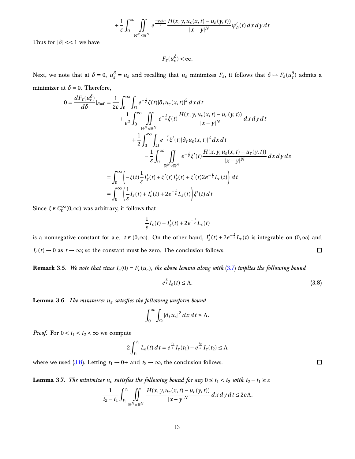$$
+\frac{1}{\varepsilon}\int_0^\infty\!\!\!\iint\limits_{\mathbb{R}^N\times\mathbb{R}^N}e^{\frac{-\psi_\delta(t)}{\varepsilon}}\frac{H(x,y,u_\varepsilon(x,t)-u_\varepsilon(y,t))}{|x-y|^N}\psi_\delta'(t)\,dx\,dy\,dt
$$

Thus for  $|\delta| \ll 1$  we have

$$
F_{\varepsilon}(u_{\varepsilon}^{\delta}) < \infty.
$$

Next, we note that at  $\delta = 0$ ,  $u_{\varepsilon}^{\delta} = u_{\varepsilon}$  and recalling that  $u_{\varepsilon}$  minimizes  $F_{\varepsilon}$ , it follows that  $\delta \to F_{\varepsilon}(u_{\varepsilon}^{\delta})$  admits a minimizer at  $\delta = 0$ . Therefore,

$$
0 = \frac{dF_{\varepsilon}(u_{\varepsilon}^{\delta})}{d\delta}|_{\delta=0} = \frac{1}{2\varepsilon} \int_{0}^{\infty} \int_{\Omega} e^{-\frac{t}{\varepsilon}} \xi(t) |\partial_{t} u_{\varepsilon}(x,t)|^{2} dx dt + \frac{1}{\varepsilon^{2}} \int_{0}^{\infty} \iint_{\mathbb{R}^{N} \times \mathbb{R}^{N}} e^{-\frac{t}{\varepsilon}} \xi(t) \frac{H(x,y,u_{\varepsilon}(x,t) - u_{\varepsilon}(y,t))}{|x-y|^{N}} dx dy dt + \frac{1}{2} \int_{0}^{\infty} \int_{\Omega} e^{-\frac{t}{\varepsilon}} \xi'(t) |\partial_{t} u_{\varepsilon}(x,t)|^{2} dx dt - \frac{1}{\varepsilon} \int_{0}^{\infty} \iint_{\mathbb{R}^{N} \times \mathbb{R}^{N}} e^{-\frac{t}{\varepsilon}} \xi'(t) \frac{H(x,y,u_{\varepsilon}(x,t) - u_{\varepsilon}(y,t))}{|x-y|^{N}} dx dy ds = \int_{0}^{\infty} \left( -\xi(t) \frac{1}{\varepsilon} I_{\varepsilon}'(t) + \xi'(t) I_{\varepsilon}'(t) + \xi'(t) 2e^{-\frac{t}{\varepsilon}} L_{\varepsilon}(t) \right) dt = \int_{0}^{\infty} \left( \frac{1}{\varepsilon} I_{\varepsilon}(t) + I_{\varepsilon}'(t) + 2e^{-\frac{t}{\varepsilon}} L_{\varepsilon}(t) \right) \xi'(t) dt
$$

Since  $\xi \in C_0^{\infty}(0,\infty)$  was arbitrary, it follows that

$$
\frac{1}{\varepsilon}I_{\varepsilon}(t) + I'_{\varepsilon}(t) + 2e^{-\frac{t}{\varepsilon}}L_{\varepsilon}(t)
$$

is a nonnegative constant for a.e.  $t \in (0,\infty)$ . On the other hand,  $I'_{\varepsilon}(t) + 2e^{-\frac{t}{\varepsilon}}L_{\varepsilon}(t)$  is integrable on  $(0,\infty)$  and  $I_{\varepsilon}(t) \to 0$  as  $t \to \infty$ ; so the constant must be zero. The conclusion follows.  $\Box$ 

<span id="page-12-2"></span>**Remark** 3.5. *We note that since*  $I_{\varepsilon}(0) = F_{\varepsilon}(u_{\varepsilon})$ *, the above lemma along with* [\(3.7\)](#page-10-3) *implies the following bound* 

<span id="page-12-0"></span>
$$
e^{\frac{t}{\varepsilon}}I_{\varepsilon}(t) \leq \Lambda. \tag{3.8}
$$

**Lemma 3.6.** *The minimizer u<sup>ε</sup> satisfies the following uniform bound*

$$
\int_0^\infty \int_{\Omega} |\partial_t u_{\varepsilon}|^2 dx dt \leq \Lambda.
$$

*Proof.* For  $0 < t_1 < t_2 < \infty$  we compute

$$
2\int_{t_1}^{t_2} L_{\varepsilon}(t) dt = e^{\frac{t_1}{\varepsilon}} I_{\varepsilon}(t_1) - e^{\frac{t_2}{\varepsilon}} I_{\varepsilon}(t_2) \leq \Lambda
$$

<span id="page-12-1"></span>where we used [\(3.8\)](#page-12-0). Letting  $t_1 \rightarrow 0+$  and  $t_2 \rightarrow \infty$ , the conclusion follows.

**Lemma 3.7.** *The minimizer*  $u_{\varepsilon}$  *satisfies the following bound for any*  $0 \le t_1 < t_2$  *with*  $t_2 - t_1 \ge \varepsilon$ 

$$
\frac{1}{t_2-t_1}\int_{t_1}^{t_2}\iint\limits_{\mathbb{R}^N\times\mathbb{R}^N}\frac{H(x,y,u_\varepsilon(x,t)-u_\varepsilon(y,t))}{|x-y|^N}dx\,dy\,dt\leq 2e\Lambda.
$$

 $\Box$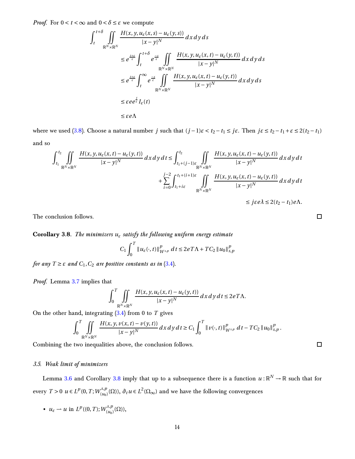*Proof.* For  $0 < t < \infty$  and  $0 < \delta \leq \varepsilon$  we compute

$$
\int_{t}^{t+\delta} \iint_{\mathbb{R}^{N} \times \mathbb{R}^{N}} \frac{H(x, y, u_{\varepsilon}(x, s) - u_{\varepsilon}(y, s))}{|x - y|^{N}} dx dy ds
$$
\n
$$
\leq e^{\frac{t+\varepsilon}{\varepsilon}} \int_{t}^{t+\delta} e^{\frac{-s}{\varepsilon}} \iint_{\mathbb{R}^{N} \times \mathbb{R}^{N}} \frac{H(x, y, u_{\varepsilon}(x, t) - u_{\varepsilon}(y, t))}{|x - y|^{N}} dx dy ds
$$
\n
$$
\leq e^{\frac{t+\varepsilon}{\varepsilon}} \int_{t}^{\infty} e^{\frac{-s}{\varepsilon}} \iint_{\mathbb{R}^{N} \times \mathbb{R}^{N}} \frac{H(x, y, u_{\varepsilon}(x, t) - u_{\varepsilon}(y, t))}{|x - y|^{N}} dx dy ds
$$
\n
$$
\leq \varepsilon e e^{\frac{t}{\varepsilon}} I_{\varepsilon}(t)
$$
\n
$$
\leq \varepsilon e \Lambda
$$

where we used [\(3.8\)](#page-12-0). Choose a natural number *j* such that  $(j-1)\varepsilon < t_2-t_1 \leq j\varepsilon$ . Then  $j\varepsilon \leq t_2-t_1+\varepsilon \leq 2(t_2-t_1)$ and so

$$
\int_{t_1}^{t_2} \iint\limits_{\mathbb{R}^N \times \mathbb{R}^N} \frac{H(x, y, u_{\varepsilon}(x, t) - u_{\varepsilon}(y, t))}{|x - y|^N} dx dy dt \le \int_{t_1 + (j - 1)\varepsilon}^{t_2} \iint\limits_{\mathbb{R}^N \times \mathbb{R}^N} \frac{H(x, y, u_{\varepsilon}(x, t) - u_{\varepsilon}(y, t))}{|x - y|^N} dx dy dt + \sum_{i = 0}^{j - 2} \int_{t_1 + i\varepsilon}^{t_1 + (i + 1)\varepsilon} \iint\limits_{\mathbb{R}^N \times \mathbb{R}^N} \frac{H(x, y, u_{\varepsilon}(x, t) - u_{\varepsilon}(y, t))}{|x - y|^N} dx dy dt \le j\varepsilon e \lambda \le 2(t_2 - t_1)e\Lambda.
$$

<span id="page-13-1"></span>The conclusion follows.

**Corollary 3.8.** *The minimizers u<sup>ε</sup> satisfy the following uniform energy estimate*

$$
C_1 \int_0^T \|u_{\varepsilon}(\cdot, t)\|_{W^{s,p}}^p \, dt \le 2eT\Lambda + TC_2 \|u_0\|_{s,p}^p
$$

*for any*  $T \geq \varepsilon$  *and*  $C_1$ ,  $C_2$  *are positive constants as in* [\(3.4\)](#page-8-3)*.* 

*Proof.* Lemma [3.7](#page-12-1) implies that

$$
\int_0^T \iint_{\mathbb{R}^N \times \mathbb{R}^N} \frac{H(x, y, u_\varepsilon(x, t) - u_\varepsilon(y, t))}{|x - y|^N} dx dy dt \le 2eT\Lambda.
$$

On the other hand, integrating [\(3.4\)](#page-8-3) from 0 to *T* gives

$$
\int_0^T \iint_{\mathbb{R}^N \times \mathbb{R}^N} \frac{H(x, y, v(x, t) - v(y, t))}{|x - y|^N} dx dy dt \geq C_1 \int_0^T \|v(\cdot, t)\|_{W^{s, p}}^p dt - TC_2 \|u_0\|_{s, p}^p.
$$

<span id="page-13-0"></span>Combining the two inequalities above, the conclusion follows.

# *3.5. Weak limit of minimizers*

Lemma [3.6](#page-12-2) and Corollary [3.8](#page-13-1) imply that up to a subsequence there is a function  $u:\mathbb{R}^N\to\mathbb{R}$  such that for every  $T > 0$   $u \in L^p(0, T; W_{(u_0)}^{s,p})$  $\int_{(u_0)}^{s,p}(\Omega)$ ,  $\partial_t u \in L^2(\Omega_\infty)$  and we have the following convergences

•  $u_{\varepsilon} \rightharpoonup u$  in  $L^p((0,T);W^{s,p}_{(u_0)})$  $\binom{s,p}{(u_0)}(\Omega),$   $\Box$ 

 $\Box$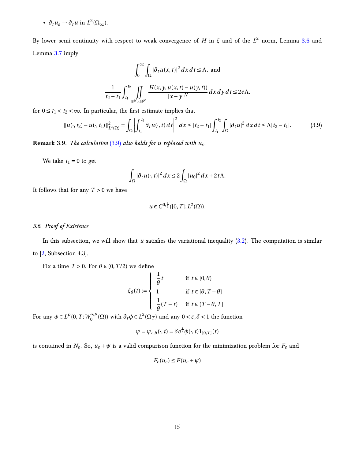<span id="page-14-3"></span>•  $\partial_t u_\varepsilon \rightharpoonup \partial_t u$  in  $L^2(\Omega_\infty)$ .

By lower semi-continuity with respect to weak convergence of  $H$  in  $\xi$  and of the  $L^2$  norm, Lemma [3.6](#page-12-2) and Lemma [3.7](#page-12-1) imply

$$
\int_0^\infty \int_{\Omega} |\partial_t u(x, t)|^2 dx dt \le \Lambda, \text{ and}
$$

$$
\frac{1}{t_2 - t_1} \int_{t_1}^{t_2} \iint_{\mathbb{R}^N \times \mathbb{R}^N} \frac{H(x, y, u(x, t) - u(y, t))}{|x - y|^N} dx dy dt \le 2e\Lambda.
$$

<span id="page-14-2"></span>for  $0 \le t_1 < t_2 < \infty$ . In particular, the first estimate implies that

$$
||u(\cdot,t_2) - u(\cdot,t_1)||_{L^2(\Omega)}^2 = \int_{\Omega} \left| \int_{t_1}^{t_2} \partial_t u(\cdot,t) dt \right|^2 dx \leq |t_2 - t_1| \int_{t_1}^{t_2} \int_{\Omega} |\partial_t u|^2 dx dt \leq \Lambda |t_2 - t_1|.
$$
 (3.9)

**Remark** 3.9. *The calculation*  $(3.9)$  *also holds for u replaced with*  $u_{\varepsilon}$ *.* 

We take  $t_1 = 0$  to get

$$
\int_{\Omega} |\partial_t u(\cdot, t)|^2 dx \le 2 \int_{\Omega} |u_0|^2 dx + 2t \Lambda.
$$

<span id="page-14-0"></span>It follows that for any  $T > 0$  we have

<span id="page-14-1"></span>
$$
u \in C^{0,\frac{1}{2}}([0,T];L^2(\Omega)).
$$

## *3.6. Proof of Existence*

In this subsection, we will show that *u* satisfies the variational inequality  $(3.2)$ . The computation is similar to [\[2,](#page-24-0) Subsection 4.3].

Fix a time  $T > 0$ . For  $\theta \in (0, T/2)$  we define

$$
\xi_{\theta}(t) := \begin{cases}\n\frac{1}{\theta}t & \text{if } t \in [0,\theta) \\
1 & \text{if } t \in [\theta, T - \theta] \\
\frac{1}{\theta}(T - t) & \text{if } t \in (T - \theta, T]\n\end{cases}
$$

For any  $\phi \in L^p(0, T; W_0^{s, p})$  $0^{S,p}$  (Ω)) with  $∂_tφ ∈ L^2(Ω_T)$  and any  $0 < ε, δ < 1$  the function

$$
\psi = \psi_{\varepsilon,\delta}(\cdot,t) = \delta e^{\frac{t}{\varepsilon}} \phi(\cdot,t) 1_{[0,T]}(t)
$$

is contained in  $N_{\varepsilon}$ . So,  $u_{\varepsilon} + \psi$  is a valid comparison function for the minimization problem for  $F_{\varepsilon}$  and

$$
F_\varepsilon(u_\varepsilon)\leq F(u_\varepsilon+\psi)
$$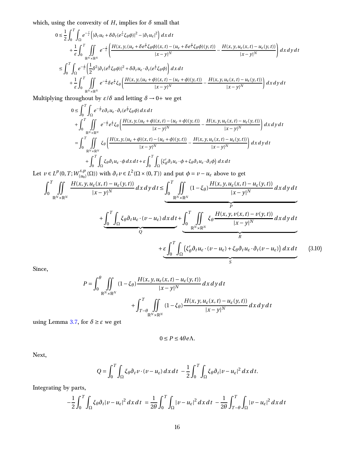which, using the convexity of  $H$ , implies for  $\delta$  small that

$$
0 \leq \frac{1}{2} \int_0^T \int_{\Omega} e^{-\frac{t}{\varepsilon}} \left( |\partial_t u_{\varepsilon} + \delta \partial_t (e^{\frac{t}{\varepsilon}} \xi_{\theta} \phi)|^2 - |\partial_t u_{\varepsilon}|^2 \right) dx dt + \frac{1}{\varepsilon} \int_0^T \iint_{\mathbb{R}^N \times \mathbb{R}^N} e^{-\frac{t}{\varepsilon}} \left( \frac{H(x, y, (u_{\varepsilon} + \delta e^{\frac{t}{\varepsilon}} \xi_{\theta} \phi)(x, t) - (u_{\varepsilon} + \delta e^{\frac{t}{\varepsilon}} \xi_{\theta} \phi)(y, t) \right)}{|x - y|^N} - \frac{H(x, y, u_{\varepsilon}(x, t) - u_{\varepsilon}(y, t))}{|x - y|^N} \right) dx dy dt 
$$
\leq \int_0^T \int_{\Omega} e^{-\frac{t}{\varepsilon}} \left( \frac{1}{2} \delta^2 |\partial_t (e^{\frac{t}{\varepsilon}} \xi_{\theta} \phi)|^2 + \delta \partial_t u_{\varepsilon} \cdot \partial_t (e^{\frac{t}{\varepsilon}} \xi_{\theta} \phi) \right) dx dt + \frac{1}{\varepsilon} \int_0^T \iint_{\mathbb{R}^N \times \mathbb{R}^N} e^{-\frac{t}{\varepsilon}} \delta e^{\frac{t}{\varepsilon}} \xi_{\theta} \left( \frac{H(x, y, (u_{\varepsilon} + \phi)(x, t) - (u_{\varepsilon} + \phi)(y, t))}{|x - y|^N} - \frac{H(x, y, u_{\varepsilon}(x, t) - u_{\varepsilon}(y, t))}{|x - y|^N} \right) dx dy dt
$$
$$

Multiplying throughout by *ε*/*δ* and letting *δ* → 0+ we get

$$
0 \leq \int_0^T \int_{\Omega} e^{-\frac{t}{\epsilon}} \epsilon \partial_t u_{\epsilon} \cdot \partial_t (e^{\frac{t}{\epsilon}} \zeta_{\theta} \phi) dx dt + \int_0^T \iint_{\mathbb{R}^N \times \mathbb{R}^N} e^{-\frac{t}{\epsilon}} \epsilon^{\frac{t}{\epsilon}} \zeta_{\theta} \left( \frac{H(x, y, (u_{\epsilon} + \phi)(x, t) - (u_{\epsilon} + \phi)(y, t))}{|x - y|^N} - \frac{H(x, y, u_{\epsilon}(x, t) - u_{\epsilon}(y, t))}{|x - y|^N} \right) dx dy dt = \int_0^T \iint_{\mathbb{R}^N \times \mathbb{R}^N} \zeta_{\theta} \left( \frac{H(x, y, (u_{\epsilon} + \phi)(x, t) - (u_{\epsilon} + \phi)(y, t))}{|x - y|^N} - \frac{H(x, y, u_{\epsilon}(x, t) - u_{\epsilon}(y, t))}{|x - y|^N} \right) dx dy dt + \int_0^T \int_{\Omega} \zeta_{\theta} \partial_t u_{\epsilon} \cdot \phi dx dt + \epsilon \int_0^T \int_{\Omega} \left( \zeta_{\theta}' \partial_t u_{\epsilon} \cdot \phi + \zeta_{\theta} \partial_t u_{\epsilon} \cdot \partial_t \phi \right) dx dt
$$

Let  $v \in L^p(0, T; W_{(u_0)}^{s,p})$  $(v_{(u_0)}^{s,p}(\Omega))$  with  $∂_t v ∈ L^2(\Omega × (0, T))$  and put  $φ = v − u_ε$  above to get

$$
\int_{0}^{T} \iint_{\mathbb{R}^{N} \times \mathbb{R}^{N}} \frac{H(x, y, u_{\varepsilon}(x, t) - u_{\varepsilon}(y, t))}{|x - y|^{N}} dx dy dt \leq \underbrace{\int_{0}^{T} \iint_{\mathbb{R}^{N} \times \mathbb{R}^{N}} (1 - \xi_{\theta}) \frac{H(x, y, u_{\varepsilon}(x, t) - u_{\varepsilon}(y, t))}{|x - y|^{N}} dx dy dt}_{P} + \underbrace{\int_{0}^{T} \int_{\Omega} \xi_{\theta} \partial_{t} u_{\varepsilon} \cdot (v - u_{\varepsilon}) dx dt}_{Q} + \underbrace{\int_{0}^{T} \iint_{\mathbb{R}^{N} \times \mathbb{R}^{N}} \xi_{\theta} \frac{H(x, y, v(x, t) - v(y, t))}{|x - y|^{N}} dx dy dt}_{R} + \underbrace{\varepsilon \int_{0}^{T} \int_{\Omega} (\xi_{\theta}' \partial_{t} u_{\varepsilon} \cdot (v - u_{\varepsilon}) + \xi_{\theta} \partial_{t} u_{\varepsilon} \cdot \partial_{t} (v - u_{\varepsilon})) dx dt}_{S} \qquad (3.10)
$$

Since,

$$
P = \int_0^\theta \iint_{\mathbb{R}^N \times \mathbb{R}^N} (1 - \xi_\theta) \frac{H(x, y, u_\varepsilon(x, t) - u_\varepsilon(y, t))}{|x - y|^N} dx dy dt
$$
  
+ 
$$
\int_{T - \theta}^T \iint_{\mathbb{R}^N \times \mathbb{R}^N} (1 - \xi_\theta) \frac{H(x, y, u_\varepsilon(x, t) - u_\varepsilon(y, t))}{|x - y|^N} dx dy dt
$$

using Lemma [3.7](#page-12-1), for  $\delta \geq \varepsilon$  we get

<span id="page-15-0"></span>
$$
0 \le P \le 4\theta e \Lambda.
$$

Next,

$$
Q = \int_0^T \int_{\Omega} \xi_{\theta} \partial_t v \cdot (v - u_{\varepsilon}) \, dx \, dt - \frac{1}{2} \int_0^T \int_{\Omega} \xi_{\theta} \partial_t |v - u_{\varepsilon}|^2 \, dx \, dt.
$$

Integrating by parts,

$$
-\frac{1}{2}\int_0^T \int_{\Omega} \xi_{\theta} \partial_t |v - u_{\varepsilon}|^2 dx dt = \frac{1}{2\theta} \int_0^T \int_{\Omega} |v - u_{\varepsilon}|^2 dx dt - \frac{1}{2\theta} \int_{T-\theta}^T \int_{\Omega} |v - u_{\varepsilon}|^2 dx dt
$$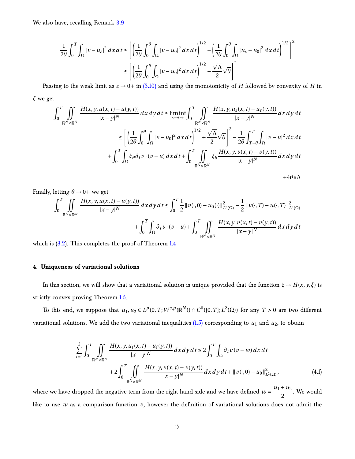We also have, recalling Remark [3.9](#page-14-2)

$$
\frac{1}{2\theta} \int_0^T \int_{\Omega} |v - u_{\varepsilon}|^2 \, dx \, dt \le \left[ \left( \frac{1}{2\theta} \int_0^{\theta} \int_{\Omega} |v - u_0|^2 \, dx \, dt \right)^{1/2} + \left( \frac{1}{2\theta} \int_0^{\theta} \int_{\Omega} |u_{\varepsilon} - u_0|^2 \, dx \, dt \right)^{1/2} \right]^2
$$
\n
$$
\le \left[ \left( \frac{1}{2\theta} \int_0^{\theta} \int_{\Omega} |v - u_0|^2 \, dx \, dt \right)^{1/2} + \frac{\sqrt{\Lambda}}{2} \sqrt{\theta} \right]^2
$$

Passing to the weak limit as  $\varepsilon \to 0+$  in [\(3.10\)](#page-15-0) and using the monotonicity of *H* followed by convexity of *H* in *ξ* we get

$$
\int_{0}^{T} \iint_{\mathbb{R}^{N} \times \mathbb{R}^{N}} \frac{H(x, y, u(x, t) - u(y, t))}{|x - y|^{N}} dx dy dt \le \liminf_{\varepsilon \to 0^{+}} \int_{0}^{T} \iint_{\mathbb{R}^{N} \times \mathbb{R}^{N}} \frac{H(x, y, u_{\varepsilon}(x, t) - u_{\varepsilon}(y, t))}{|x - y|^{N}} dx dy dt
$$
  

$$
\le \left[ \left( \frac{1}{2\theta} \int_{0}^{\theta} \int_{\Omega} |v - u_{0}|^{2} dx dt \right)^{1/2} + \frac{\sqrt{\Lambda}}{2} \sqrt{\theta} \right]^{2} - \frac{1}{2\theta} \int_{T - \theta}^{T} \int_{\Omega} |v - u|^{2} dx dt
$$
  

$$
+ \int_{0}^{T} \int_{\Omega} \xi_{\theta} \partial_{t} v \cdot (v - u) dx dt + \int_{0}^{T} \iint_{\mathbb{R}^{N} \times \mathbb{R}^{N}} \xi_{\theta} \frac{H(x, y, v(x, t) - v(y, t))}{|x - y|^{N}} dx dy dt
$$

<span id="page-16-1"></span><sup>+</sup>4*θe*<sup>Λ</sup>

Finally, letting  $\theta \rightarrow 0^+$  we get

$$
\int_{0}^{T} \iint_{\mathbb{R}^{N} \times \mathbb{R}^{N}} \frac{H(x, y, u(x, t) - u(y, t))}{|x - y|^{N}} dx dy dt \le \int_{0}^{T} \frac{1}{2} ||v(\cdot, 0) - u_{0}(\cdot)||_{L^{2}(\Omega)}^{2} - \frac{1}{2} ||v(\cdot, T) - u(\cdot, T)||_{L^{2}(\Omega)}^{2}
$$

$$
+ \int_{0}^{T} \int_{\Omega} \partial_{t} v \cdot (v - u) + \int_{0}^{T} \iint_{\mathbb{R}^{N} \times \mathbb{R}^{N}} \frac{H(x, y, v(x, t) - v(y, t))}{|x - y|^{N}} dx dy dt
$$

<span id="page-16-0"></span>which is  $(3.2)$ . This completes the proof of Theorem [1.4](#page-4-3)

## **4. Uniqueness of variational solutions**

In this section, we will show that a variational solution is unique provided that the function  $\xi \mapsto H(x, y, \xi)$  is strictly convex proving Theorem [1.5.](#page-4-4)

To this end, we suppose that  $u_1, u_2 \in L^p(0,T;W^{s,p}(\mathbb{R}^N)) \cap C^0([0,T];L^2(\Omega))$  for any  $T > 0$  are two different variational solutions. We add the two variational inequalities  $(1.5)$  corresponding to  $u_1$  and  $u_2$ , to obtain

$$
\sum_{i=1}^{2} \int_{0}^{T} \iint_{\mathbb{R}^{N} \times \mathbb{R}^{N}} \frac{H(x, y, u_{i}(x, t) - u_{i}(y, t))}{|x - y|^{N}} dx dy dt \le 2 \int_{0}^{T} \int_{\Omega} \partial_{t} v (v - w) dx dt + 2 \int_{0}^{T} \iint_{\mathbb{R}^{N} \times \mathbb{R}^{N}} \frac{H(x, y, v(x, t) - v(y, t))}{|x - y|^{N}} dx dy dt + ||v(\cdot, 0) - u_{0}||^{2}_{L^{2}(\Omega)},
$$
\n(4.1)

where we have dropped the negative term from the right hand side and we have defined  $w = \frac{u_1 + u_2}{2}$  $\frac{1}{2}$ . We would like to use *w* as a comparison function *v*, however the definition of variational solutions does not admit the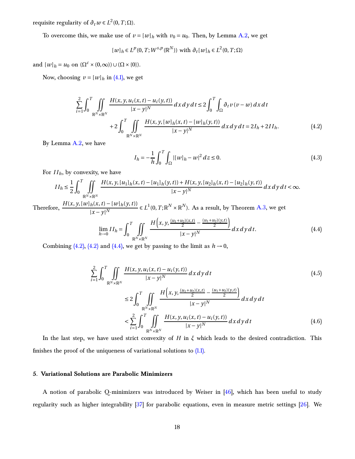<span id="page-17-3"></span> $\text{require regularity of } ∂_t w ∈ L^2(0, T; ∩).$ 

To overcome this, we make use of  $v = [w]_h$  with  $v_0 = u_0$ . Then, by Lemma [A.2,](#page-22-0) we get

 $[w]_h ∈ L^p(0, T; W^{s,p}(\mathbb{R}^N))$  with  $\partial_t[w]_h ∈ L^2(0, T; \Omega)$ 

and  $[w]_h = u_0$  on  $(\Omega^c \times (0, \infty)) \cup (\Omega \times \{0\}).$ 

Now, choosing  $v = [w]_h$  in [\(4.1\),](#page-16-1) we get

$$
\sum_{i=1}^{2} \int_{0}^{T} \iint_{\mathbb{R}^{N} \times \mathbb{R}^{N}} \frac{H(x, y, u_{i}(x, t) - u_{i}(y, t))}{|x - y|^{N}} dx dy dt \le 2 \int_{0}^{T} \int_{\Omega} \partial_{t} v (v - w) dx dt + 2 \int_{0}^{T} \iint_{\mathbb{R}^{N} \times \mathbb{R}^{N}} \frac{H(x, y, [w]_{h}(x, t) - [w]_{h}(y, t))}{|x - y|^{N}} dx dy dt = 2I_{h} + 2II_{h}.
$$
 (4.2)

By Lemma [A.2,](#page-22-0) we have

<span id="page-17-2"></span><span id="page-17-1"></span>
$$
I_h = -\frac{1}{h} \int_0^T \int_{\Omega} |[w]_h - w|^2 \, dz \le 0. \tag{4.3}
$$

For *I Ih*, by convexity, we have

$$
II_h \le \frac{1}{2} \int_0^T \iint_{\mathbb{R}^N \times \mathbb{R}^N} \frac{H(x, y, [u_1]_h(x, t) - [u_1]_h(y, t)) + H(x, y, [u_2]_h(x, t) - [u_2]_h(y, t))}{|x - y|^N} dx dy dt < \infty.
$$

Therefore,  $\frac{H(x, y, [w]_h(x, t) - [w]_h(y, t))}{h(x, y)}$  $\frac{h(x, t) - [w]_h(y, t)}{[x - y]^N} \in L^1(0, T; \mathbb{R}^N \times \mathbb{R}^N)$ . As a result, by Theorem [A.3,](#page-24-2) we get

$$
\lim_{h \to 0} II_h = \int_0^T \iint_{\mathbb{R}^N \times \mathbb{R}^N} \frac{H\left(x, y, \frac{(u_1 + u_2)(x, t)}{2} - \frac{(u_1 + u_2)(y, t)}{2}\right)}{|x - y|^N} dx dy dt.
$$
 (4.4)

Combining [\(4.2\),](#page-17-1) [\(4.2\)](#page-17-1) and [\(4.4\),](#page-17-2) we get by passing to the limit as  $h \to 0$ ,

$$
\sum_{i=1}^{2} \int_{0}^{T} \iint_{\mathbb{R}^{N} \times \mathbb{R}^{N}} \frac{H(x, y, u_{i}(x, t) - u_{i}(y, t))}{|x - y|^{N}} dx dy dt
$$
\n
$$
\leq 2 \int_{0}^{T} \iint_{\mathbb{R}^{N} \times \mathbb{R}^{N}} \frac{H\left(x, y, \frac{(u_{1} + u_{2})(x, t)}{2} - \frac{(u_{1} + u_{2})(y, t)}{2}\right)}{|x - y|^{N}} dx dy dt
$$
\n
$$
< \sum_{i=1}^{2} \int_{0}^{T} \iint_{\mathbb{R}^{N} \times \mathbb{R}^{N}} \frac{H(x, y, u_{i}(x, t) - u_{i}(y, t))}{|x - y|^{N}} dx dy dt
$$
\n(4.6)

In the last step, we have used strict convexity of *H* in *ξ* which leads to the desired contradiction. This finishes the proof of the uniqueness of variational solutions to  $(1.1)$ .

# <span id="page-17-0"></span>**5. Variational Solutions are Parabolic Minimizers**

A notion of parabolic Q-minimizers was introduced by Weiser in [\[46\]](#page-30-1), which has been useful to study regularity such as higher integrability [\[37\]](#page-29-7) for parabolic equations, even in measure metric settings [\[26](#page-27-5)]. We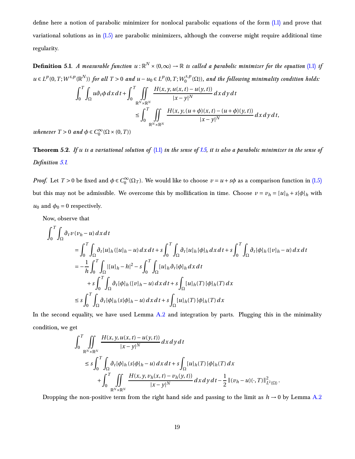<span id="page-18-0"></span>define here a notion of parabolic minimizer for nonlocal parabolic equations of the form [\(1.1\)](#page-1-2) and prove that variational solutions as in  $(1.5)$  are parabolic minimizers, although the converse might require additional time regularity.

Definition 5.1. *A measurable function*  $u:\mathbb{R}^N\times(0,\infty)\to\mathbb{R}$  *is called a parabolic minimizer for the equation* [\(1.1\)](#page-1-2) *if u* ∈ *L*<sup>*p*</sup>(0, *T*; *W*<sup>*s*,*p*</sup>( $\mathbb{R}^N$ )) *for all T* > 0 *and u* − *u*<sub>0</sub> ∈ *L*<sup>*p*</sup>(0, *T*;  $W_0^{s,p}$  $\binom{0.5}{0}$  (Ω)), and the following minimality condition holds:

$$
\int_0^T \int_{\Omega} u \partial_t \phi \, dx \, dt + \int_0^T \iint_{\mathbb{R}^N \times \mathbb{R}^N} \frac{H(x, y, u(x, t) - u(y, t))}{|x - y|^N} \, dx \, dy \, dt
$$
\n
$$
\leq \int_0^T \iint_{\mathbb{R}^N \times \mathbb{R}^N} \frac{H(x, y, (u + \phi)(x, t) - (u + \phi)(y, t))}{|x - y|^N} \, dx \, dy \, dt,
$$

<span id="page-18-1"></span>*whenever*  $T > 0$  *and*  $\phi \in C_0^{\infty}(\Omega \times (0, T))$ 

**Theorem 5.2.** *If u is a variational solution of* [\(1.1\)](#page-1-2) *in the sense of [1.5,](#page-3-2) it is also a parabolic minimizer in the sense of Definition [5.1.](#page-18-0)*

*Proof.* Let  $T > 0$  be fixed and  $\phi \in C_0^{\infty}(\Omega_T)$ . We would like to choose  $v = u + s\phi$  as a comparison function in [\(1.5\)](#page-3-2) but this may not be admissible. We overcome this by mollification in time. Choose  $v = v_h = [u]_h + s[\phi]_h$  with  $u_0$  and  $\phi_0 = 0$  respectively.

Now, observe that

$$
\int_0^T \int_{\Omega} \partial_t v(v_h - u) \, dx \, dt
$$
\n
$$
= \int_0^T \int_{\Omega} \partial_t [u]_h ([u]_h - u) \, dx \, dt + s \int_0^T \int_{\Omega} \partial_t [u]_h [\phi]_h \, dx \, dt + s \int_0^T \int_{\Omega} \partial_t [\phi]_h ([v]_h - u) \, dx \, dt
$$
\n
$$
= -\frac{1}{h} \int_0^T \int_{\Omega} |[u]_h - h|^2 - s \int_0^T \int_{\Omega} [u]_h \partial_t [\phi]_h \, dx \, dt
$$
\n
$$
+ s \int_0^T \int_{\Omega} \partial_t [\phi]_h ([v]_h - u) \, dx \, dt + s \int_{\Omega} [u]_h (T) [\phi]_h (T) \, dx
$$
\n
$$
\leq s \int_0^T \int_{\Omega} \partial_t [\phi]_h (s[\phi]_h - u) \, dx \, dt + s \int_{\Omega} [u]_h (T) [\phi]_h (T) \, dx
$$

In the second equality, we have used Lemma  $A.2$  and integration by parts. Plugging this in the minimality condition, we get

$$
\int_{0}^{T} \iint_{\mathbb{R}^{N} \times \mathbb{R}^{N}} \frac{H(x, y, u(x, t) - u(y, t))}{|x - y|^{N}} dx dy dt
$$
\n
$$
\leq s \int_{0}^{T} \int_{\Omega} \partial_{t} [\phi]_{h} (s[\phi]_{h} - u) dx dt + s \int_{\Omega} [u]_{h}(T) [\phi]_{h}(T) dx
$$
\n
$$
+ \int_{0}^{T} \iint_{\mathbb{R}^{N} \times \mathbb{R}^{N}} \frac{H(x, y, v_{h}(x, t) - v_{h}(y, t))}{|x - y|^{N}} dx dy dt - \frac{1}{2} ||(v_{h} - u)(\cdot, T)||^{2}_{L^{2}(\Omega)}.
$$

Dropping the non-positive term from the right hand side and passing to the limit as  $h \rightarrow 0$  by Lemma [A.2](#page-22-0)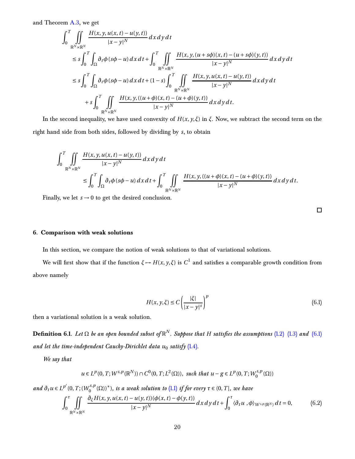and Theorem [A.3,](#page-24-2) we get

$$
\int_{0}^{T} \iint_{\mathbb{R}^{N} \times \mathbb{R}^{N}} \frac{H(x, y, u(x, t) - u(y, t))}{|x - y|^{N}} dx dy dt
$$
\n
$$
\leq s \int_{0}^{T} \int_{\Omega} \partial_{t} \phi (s\phi - u) dx dt + \int_{0}^{T} \iint_{\mathbb{R}^{N} \times \mathbb{R}^{N}} \frac{H(x, y, (u + s\phi)(x, t) - (u + s\phi)(y, t))}{|x - y|^{N}} dx dy dt
$$
\n
$$
\leq s \int_{0}^{T} \int_{\Omega} \partial_{t} \phi (s\phi - u) dx dt + (1 - s) \int_{0}^{T} \iint_{\mathbb{R}^{N} \times \mathbb{R}^{N}} \frac{H(x, y, u(x, t) - u(y, t))}{|x - y|^{N}} dx dy dt
$$
\n
$$
+ s \int_{0}^{T} \iint_{\mathbb{R}^{N} \times \mathbb{R}^{N}} \frac{H(x, y, ((u + \phi)(x, t) - (u + \phi)(y, t)))}{|x - y|^{N}} dx dy dt.
$$

In the second inequality, we have used convexity of  $H(x, y, \xi)$  in  $\xi$ . Now, we subtract the second term on the right hand side from both sides, followed by dividing by *s*, to obtain

$$
\int_0^T \iint\limits_{\mathbb{R}^N \times \mathbb{R}^N} \frac{H(x, y, u(x, t) - u(y, t))}{|x - y|^N} dx dy dt
$$
\n
$$
\leq \int_0^T \int_{\Omega} \partial_t \phi (s\phi - u) dx dt + \int_0^T \iint\limits_{\mathbb{R}^N \times \mathbb{R}^N} \frac{H(x, y, ((u + \phi)(x, t) - (u + \phi)(y, t))}{|x - y|^N} dx dy dt.
$$

<span id="page-19-0"></span>Finally, we let  $s \rightarrow 0$  to get the desired conclusion.

<span id="page-19-2"></span><span id="page-19-1"></span> $\Box$ 

# **6. Comparison with weak solutions**

In this section, we compare the notion of weak solutions to that of variational solutions.

We will first show that if the function  $\xi \mapsto H(x, y, \xi)$  is  $C^1$  and satisfies a comparable growth condition from above namely

$$
H(x, y, \xi) \le C \left( \frac{|\xi|}{|x - y|^s} \right)^p
$$
\n(6.1)

then a variational solution is a weak solution.

**Definition 6.1.** *Let* Ω *be an open bounded subset of* R *N . Suppose that H satisfies the assumptions* [\(1.2\)](#page-2-1) [\(1.3\)](#page-2-2) *and* [\(6.1\)](#page-19-1) *and let the time-independent Cauchy-Dirichlet data u*<sup>0</sup> *satisfy* [\(1.4\)](#page-3-1)*.*

*We say that*

$$
u\in L^p(0,T; W^{s,p}(\mathbb{R}^N))\cap C^0(0,T; L^2(\Omega)), \text{ such that } u-g\in L^p(0,T; W^{s,p}_0(\Omega))
$$

*and*  $\partial_t u \in L^{p'}(0, T; (W_0^{s,p}))$ 0 (Ω))<sup>∗</sup> )*, is a weak solution to* [\(1.1\)](#page-1-2) *if for every τ* ∈ (0,*T* ]*, we have*

$$
\int_0^{\tau} \iint\limits_{\mathbb{R}^N \times \mathbb{R}^N} \frac{\partial_{\xi} H(x, y, u(x, t) - u(y, t))(\phi(x, t) - \phi(y, t))}{|x - y|^N} dx dy dt + \int_0^{\tau} \langle \partial_t u, \phi \rangle_{W^{s, p}(\mathbb{R}^N)} dt = 0,
$$
 (6.2)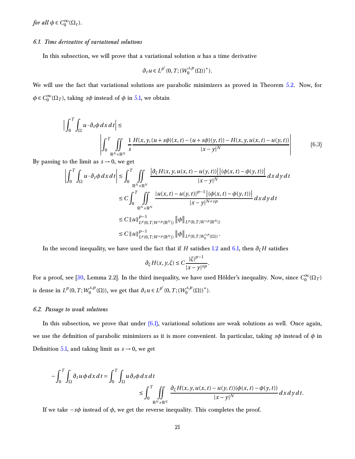<span id="page-20-2"></span><span id="page-20-0"></span>*for all*  $\phi \in C_0^{\infty}(\Omega_{\tau}).$ 

## *6.1. Time derivative of variational solutions*

In this subsection, we will prove that a variational solution *u* has a time derivative

$$
\partial_t u \in L^{p'}(0,T;(W_0^{s,p}(\Omega))^*).
$$

We will use the fact that variational solutions are parabolic minimizers as proved in Theorem [5.2.](#page-18-1) Now, for  $\phi \in C_0^{\infty}(\Omega_T)$ , taking *s* $\phi$  instead of  $\phi$  in [5.1,](#page-18-0) we obtain

$$
\left| \int_0^T \int_{\Omega} u \cdot \partial_t \phi \, dx \, dt \right| \le \left| \int_0^T \int_{\mathbb{R}^N \times \mathbb{R}^N} \frac{1}{s} \frac{H(x, y, (u + s\phi)(x, t) - (u + s\phi)(y, t)) - H(x, y, u(x, t) - u(y, t))}{|x - y|^N} \right| \tag{6.3}
$$

By passing to the limit as  $s \rightarrow 0$ , we get

$$
\left| \int_{0}^{T} \int_{\Omega} u \cdot \partial_{t} \phi \, dx \, dt \right| \leq \int_{0}^{T} \iint_{\mathbb{R}^{N} \times \mathbb{R}^{N}} \frac{\left| \partial_{\xi} H(x, y, u(x, t) - u(y, t)) \right| \left| (\phi(x, t) - \phi(y, t)) \right|}{|x - y|^{N}} dx \, dy \, dt
$$
\n
$$
\leq C \int_{0}^{T} \iint_{\mathbb{R}^{N} \times \mathbb{R}^{N}} \frac{|u(x, t) - u(y, t)|^{p-1} |(\phi(x, t) - \phi(y, t))|}{|x - y|^{N + sp}} dx \, dy \, dt
$$
\n
$$
\leq C \left\| u \right\|_{L^{p}(0, T; W^{s, p}(\mathbb{R}^{N}))}^{p-1} \left\| \phi \right\|_{L^{p}(0, T; W^{s, p}(\mathbb{R}^{N}))}
$$
\n
$$
\leq C \left\| u \right\|_{L^{p}(0, T; W^{s, p}(\mathbb{R}^{N}))}^{p-1} \left\| \phi \right\|_{L^{p}(0, T; W^{s, p}_{0}(\Omega))}.
$$

In the second inequality, we have used the fact that if *H* satisfies [1.2](#page-2-1) and [6.1,](#page-19-1) then  $\partial_{\xi}H$  satisfies

$$
\partial_{\xi} H(x, y, \xi) \leq C \frac{|\xi|^{p-1}}{|x - y|^{sp}}.
$$

<span id="page-20-1"></span>For a proof, see [\[30](#page-28-2), Lemma 2.2]. In the third inequality, we have used Hölder's inequality. Now, since  $C_0^{\infty}(\Omega_T)$ is dense in  $L^p(0,T;W_0^{s,p})$  $O_0^{s,p}$  (Ω)), we get that  $∂_t u ∈ L^{p'}(0, T; (W_0^{s,p}))$  $_{0}^{(s,p)}(\Omega))^*$ ).

# *6.2. Passage to weak solutions*

In this subsection, we prove that under  $(6.1)$ , variational solutions are weak solutions as well. Once again, we use the definition of parabolic minimizers as it is more convenient. In particular, taking *sφ* instead of *φ* in Definition [5.1,](#page-18-0) and taking limit as  $s \rightarrow 0$ , we get

$$
-\int_0^T \int_{\Omega} \partial_t u \phi dx dt = \int_0^T \int_{\Omega} u \partial_t \phi dx dt
$$
  
\n
$$
\leq \int_0^T \iint_{\mathbb{R}^N \times \mathbb{R}^N} \frac{\partial_{\xi} H(x, y, u(x, t) - u(y, t))(\phi(x, t) - \phi(y, t))}{|x - y|^N} dx dy dt.
$$

If we take  $-s\phi$  instead of  $\phi$ , we get the reverse inequality. This completes the proof.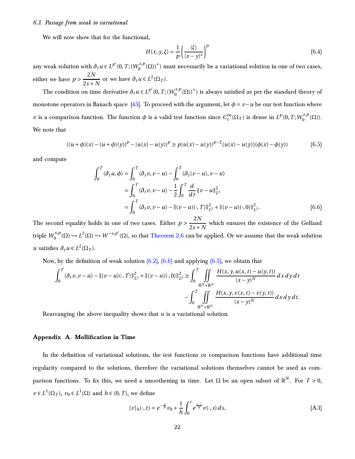#### <span id="page-21-5"></span><span id="page-21-0"></span>*6.3. Passage from weak to variational*

We will now show that for the functional,

<span id="page-21-3"></span>
$$
H(x, y, \xi) = \frac{1}{p} \left( \frac{|\xi|}{|x - y|^s} \right)^p
$$
\n(6.4)

any weak solution with  $\partial_t u \in L^{p'}(0,T;(W_0^{s,p}))$  $\binom{0.5}{0}$  (Ω))\*) must necessarily be a variational solution in one of two cases, either we have  $p > \frac{2N}{2s+1}$  $\frac{2I\mathbf{v}}{2s + N}$  or we have  $\partial_t u \in L^2(\Omega_T)$ .

The condition on time derivative  $\partial_t u \in L^{p'}(0,T;(W_0^{s,p})$  $\binom{0}{0}^* (\Omega)$ )\*) is always satisfied as per the standard theory of monotone operators in Banach space [\[45\]](#page-30-0). To proceed with the argument, let  $\phi = \nu - u$  be our test function where *v* is a comparison function. The function  $\phi$  is a valid test function since  $C_c^{\infty}(\Omega_T)$  is dense in  $L^p(0,T;W_0^{s,p})$  $\binom{S, p}{0}(\Omega)$ ). We note that

$$
|(u+\phi)(x)-(u+\phi)(y)|^p-|u(x)-u(y)|^p \ge p|u(x)-u(y)|^{p-2}(u(x)-u(y))(\phi(x)-\phi(y))
$$
\n(6.5)

and compute

<span id="page-21-2"></span>
$$
\int_0^T \langle \partial_t u, \phi \rangle = \int_0^T \langle \partial_t v, v - u \rangle - \int_0^T \langle \partial_t (v - u), v - u \rangle
$$
  
\n
$$
= \int_0^T \langle \partial_t v, v - u \rangle - \frac{1}{2} \int_0^T \frac{d}{dt} ||v - u||_{L^2}^2
$$
  
\n
$$
= \int_0^T \langle \partial_t v, v - u \rangle - ||(v - u)(\cdot, T)||_{L^2}^2 + ||(v - u)(\cdot, 0)||_{L^2}^2.
$$
\n(6.6)

The second equality holds in one of two cases. Either  $p > \frac{2N}{2s+1}$  $\frac{2s}{2s+N}$  which ensures the existence of the Gelfand triple  $W_0^{s,p}$  $\chi_0^{s,p}(\Omega)$  →  $L^2(\Omega)$  →  $W^{-s,p'}(\Omega)$ , so that [Theorem 2.6](#page-6-4) can be applied. Or we assume that the weak solution *u* satisfies  $\partial_t u \in L^2(\Omega_T)$ .

Now, by the definition of weak solution  $(6.2)$ ,  $(6.6)$  and applying  $(6.5)$ , we obtain that

$$
\int_0^T \langle \partial_t v, v - u \rangle - ||(v - u)(\cdot, T)||_{L^2}^2 + ||(v - u)(\cdot, 0)||_{L^2}^2 \ge \int_0^T \iint_{\mathbb{R}^N \times \mathbb{R}^N} \frac{H(x, y, u(x, t) - u(y, t))}{|x - y|^N} dx dy dt - \int_0^T \iint_{\mathbb{R}^N \times \mathbb{R}^N} \frac{H(x, y, v(x, t) - v(y, t))}{|x - y|^N} dx dy dt.
$$

<span id="page-21-1"></span>Rearranging the above inequality shows that *u* is a variational solution.

#### **Appendix A. Mollification in Time**

In the definition of variational solutions, the test functions or comparison functions have additional time regularity compared to the solutions, therefore the variational solutions themselves cannot be used as comparison functions. To fix this, we need a smoothening in time. Let  $\Omega$  be an open subset of  $\mathbb{R}^N$ . For  $T > 0$ , *v* ∈  $L^1(\Omega_T)$ , *v*<sub>0</sub> ∈  $L^1(\Omega)$  and *h* ∈ (0, *T*], we define

<span id="page-21-4"></span>
$$
[v]_h(\cdot, t) = e^{-\frac{t}{h}}v_0 + \frac{1}{h} \int_0^t e^{\frac{s-t}{h}} v(\cdot, s) ds,
$$
\n(A.1)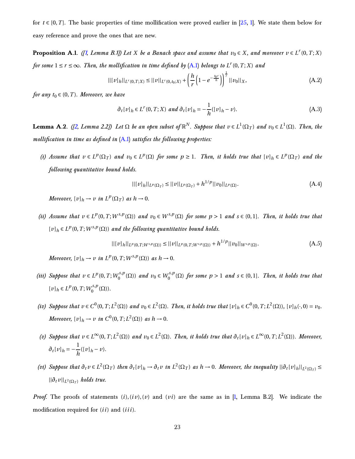<span id="page-22-2"></span><span id="page-22-1"></span>for  $t \in [0, T]$ . The basic properties of time mollification were proved earlier in [\[25,](#page-27-6) [1](#page-24-1)]. We state them below for easy reference and prove the ones that are new.

**Proposition A.1.** *([\[1,](#page-24-1) Lemma B.1]) Let*  $X$  *be a Banach space and assume that*  $v_0 \in X$ *, and moreover*  $v \in L^r(0,T;X)$ *for some*  $1 \le r \le \infty$ *. Then, the mollification in time defined by* [\(A.1\)](#page-21-4) *belongs to*  $L^r(0,T;X)$  *and* 

$$
||[v]_h||_{L^r(0,T;X)} \le ||v||_{L^r(0,t_0;X)} + \left(\frac{h}{r}\left(1 - e^{-\frac{t_0 r}{h}}\right)\right)^{\frac{1}{r}}||v_0||_X,\tag{A.2}
$$

*for any*  $t_0 \in (0, T)$ *. Moreover, we have* 

$$
\partial_t[v]_h \in L^r(0, T; X) \text{ and } \partial_t[v]_h = -\frac{1}{h}([v]_h - v). \tag{A.3}
$$

<span id="page-22-0"></span>**Lemma A.2.** ([\[2](#page-24-0), Lemma 2.2]) Let  $\Omega$  be an open subset of  $\mathbb{R}^N$ . Suppose that  $v \in L^1(\Omega_T)$  and  $v_0 \in L^1(\Omega)$ . Then, the *mollification in time as defined in* [\(A.1\)](#page-21-4) *satisfies the following properties:*

(i) Assume that  $v \in L^p(\Omega_T)$  and  $v_0 \in L^p(\Omega)$  for some  $p \ge 1$ . Then, it holds true that  $[v]_h \in L^p(\Omega_T)$  and the *following quantitative bound holds.*

$$
||[v]_h||_{L^p(\Omega_T)} \le ||v||_{L^p(\Omega_T)} + h^{1/p}||v_0||_{L^p(\Omega)}.
$$
\n(A.4)

*Moreover,*  $[v]_h \to v$  *in*  $L^p(\Omega_T)$  *as*  $h \to 0$ *.* 

(ii) Assume that  $v \in L^p(0,T;W^{s,p}(\Omega))$  and  $v_0 \in W^{s,p}(\Omega)$  for some  $p > 1$  and  $s \in (0,1]$ . Then, it holds true that  $[v]_h \in L^p(0, T; W^{s,p}(\Omega))$  and the following quantitative bound holds.

$$
||[v]_h||_{L^p(0,T;W^{s,p}(\Omega))} \le ||v||_{L^p(0,T;W^{s,p}(\Omega))} + h^{1/p}||v_0||_{W^{s,p}(\Omega)}.
$$
\n(A.5)

*Moreover,*  $[v]_h \to v$  *in*  $L^p(0,T;W^{s,p}(\Omega))$  *as*  $h \to 0$ *.* 

- *(iii)* Suppose that  $v \in L^p(0, T; W_0^{s,p})$  $v_0^{s,p}(\Omega)$  *and*  $v_0 \in W_0^{s,p}$  $\int_0^{S,p}(\Omega)$  for some  $p > 1$  and  $s \in (0,1]$ *. Then, it holds true that*  $[v]_h \in L^p(0, T; W_0^{s, p})$  $\binom{s,p}{0}(\Omega)$ ).
- (iv) Suppose that  $v \in C^0(0,T;L^2(\Omega))$  and  $v_0 \in L^2(\Omega)$ . Then, it holds true that  $[v]_h \in C^0(0,T;L^2(\Omega))$ ,  $[v]_h(\cdot,0) = v_0$ . *Moreover,*  $[v]_h \to v$  *in*  $C^0(0,T;L^2(\Omega))$  *as*  $h \to 0$ *.*
- (v) Suppose that  $v \in L^{\infty}(0, T; L^{2}(\Omega))$  and  $v_0 \in L^{2}(\Omega)$ . Then, it holds true that  $\partial_t[v]_h \in L^{\infty}(0, T; L^{2}(\Omega))$ . Moreover,  $\partial_t [v]_h = -\frac{1}{h}$  $\frac{1}{h}([v]_h - v)$ .
- (vi) Suppose that  $\partial_t v \in L^2(\Omega_T)$  then  $\partial_t [v]_h \to \partial_t v$  in  $L^2(\Omega_T)$  as  $h \to 0$ . Moreover, the inequality  $||\partial_t [v]_h||_{L^2(\Omega_T)} \le$  $||\partial_t v||_{L^2(\Omega_T)}$  *holds true.*

*Proof.* The proofs of statements  $(i)$ ,  $(iv)$ ,  $(v)$  and  $(vi)$  are the same as in [\[1](#page-24-1), Lemma B.2]. We indicate the modification required for (*i i*) and (*i i i*).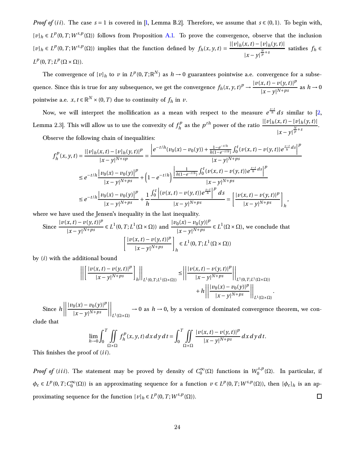<span id="page-23-0"></span>*Proof of* (*ii*). The case  $s = 1$  is covered in [\[1,](#page-24-1) Lemma B.2]. Therefore, we assume that  $s \in (0,1)$ . To begin with,  $[v]_h \in L^p(0,T;W^{s,p}(\Omega))$  follows from Proposition [A.1.](#page-22-1) To prove the convergence, observe that the inclusion  $[v]_h \in L^p(0,T;W^{s,p}(\Omega))$  implies that the function defined by  $f_h(x,y,t) = \frac{|[v]_h(x,t) - [v]_h(y,t)|}{|y-x|}$  $|x-y|^{\frac{N}{p}+s}$  satisfies  $f_h \in$  $L^p(0,T;L^p(\Omega \times \Omega)).$ 

The convergence of  $[v]_h$  to  $v$  in  $L^p(0,T;\mathbb{R}^N)$  as  $h \to 0$  guarantees pointwise a.e. convergence for a subsequence. Since this is true for any subsequence, we get the convergence  $f_h(x, y, t)^p \to \frac{|v(x, t) - v(y, t)|^p}{|x - y|^{N+ps}}$  $|x-y|^{N+ps}$  as  $h \to 0$ pointwise a.e.  $x, t \in \mathbb{R}^N \times (0, T)$  due to continuity of  $f_h$  in  $v$ .

Now, we will interpret the mollification as a mean with respect to the measure  $e^{\frac{s-t}{h}}ds$  similar to [\[2,](#page-24-0) Lemma 2.3]. This will allow us to use the convexity of  $f_h^p$  $h_h^{p}$  as the *p*<sup>th</sup> power of the ratio  $\frac{|[v]_h(x,t)-[v]_h(y,t)|}{\frac{N}{h}+s}$  $|x-y|^{\frac{N}{p}+s}$ .

Observe the following chain of inequalities:

$$
f_h^p(x, y, t) = \frac{|[v]_h(x, t) - [v]_h(y, t)|^p}{|x - y|^{N + sp}} = \frac{\left|e^{-t/h}(v_0(x) - v_0(y)) + \frac{1 - e^{-t/h}}{h(1 - e^{-t/h})} \int_0^t (v(x, t) - v(y, t)) e^{\frac{s - t}{h}} ds\right|^p}{|x - y|^{N + ps}} \le e^{-t/h} \frac{\left|v_0(x) - v_0(y)\right|^p}{|x - y|^{N + ps}} + \left(1 - e^{-t/h}\right) \frac{\left|\frac{1}{h(1 - e^{-t/h})} \int_0^t (v(x, t) - v(y, t)) e^{\frac{s - t}{h}} ds\right|^p}{|x - y|^{N + ps}}}{|x - y|^{N + ps}} \le e^{-t/h} \frac{\left|v_0(x) - v_0(y)\right|^p}{|x - y|^{N + ps}} + \frac{1}{h} \frac{\int_0^t \left| (v(x, t) - v(y, t)) e^{\frac{s - t}{h}} \right|^p ds}{|x - y|^{N + ps}} = \left[ \frac{|v(x, t) - v(y, t)|^p}{|x - y|^{N + ps}} \right]_h,
$$

where we have used the Jensen's inequality in the last inequality.

Since 
$$
\frac{|v(x, t) - v(y, t)|^p}{|x - y|^{N + ps}} \in L^1(0, T; L^1(\Omega \times \Omega))
$$
 and  $\frac{|v_0(x) - v_0(y)|^p}{|x - y|^{N + ps}} \in L^1(\Omega \times \Omega)$ , we conclude that\n
$$
\left[ \frac{|v(x, t) - v(y, t)|^p}{|x - y|^{N + ps}} \right]_h \in L^1(0, T; L^1(\Omega \times \Omega))
$$

by (*i*) with the additional bound

$$
\left| \left| \left[ \frac{|v(x,t) - v(y,t)|^p}{|x - y|^{N + ps}} \right]_h \right| \right|_{L^1(0,T;L^1(\Omega \times \Omega))} \leq \left| \left| \frac{|v(x,t) - v(y,t)|^p}{|x - y|^{N + ps}} \right| \right|_{L^1(0,T;L^1(\Omega \times \Omega))} + h \left| \left| \frac{|v_0(x) - v_0(y)|^p}{|x - y|^{N + ps}} \right| \right|_{L^1(\Omega \times \Omega)}
$$

Since  $h\Big|$  $\begin{array}{|c|c|} \hline \quad \quad & \quad \quad & \quad \quad \\ \hline \quad \quad & \quad \quad & \quad \quad \\ \hline \quad \quad & \quad \quad & \quad \quad \\ \hline \end{array}$  $|v_0(x) - v_0(y)|^p$ |*x* − *y*| *N*+*ps*  $\begin{array}{|c|c|} \hline \multicolumn{1}{|c|}{1} & \multicolumn{1}{|c|}{1} & \multicolumn{1}{|c|}{1} & \multicolumn{1}{|c|}{1} & \multicolumn{1}{|c|}{1} & \multicolumn{1}{|c|}{1} & \multicolumn{1}{|c|}{1} & \multicolumn{1}{|c|}{1} & \multicolumn{1}{|c|}{1} & \multicolumn{1}{|c|}{1} & \multicolumn{1}{|c|}{1} & \multicolumn{1}{|c|}{1} & \multicolumn{1}{|c|}{1} & \multicolumn{1}{|c|}{1} & \multicolumn{1}{|c|$  $\bigg|_{L^1(\Omega\times\Omega)}$  $\rightarrow$  0 as  $h \rightarrow$  0, by a version of dominated convergence theorem, we con-

.

clude that

$$
\lim_{h\to 0}\int_0^T\iint\limits_{\Omega\times\Omega}f_h^p(x,y,t)\,dx\,dy\,dt=\int_0^T\iint\limits_{\Omega\times\Omega}\frac{|v(x,t)-v(y,t)|^p}{|x-y|^{N+ps}}\,dx\,dy\,dt.
$$

This finishes the proof of (*i i*).

*Proof of (iii)*. The statement may be proved by density of  $C_0^{\infty}(\Omega)$  functions in  $W_0^{s,p}$  $\int_0^{s,p}$ ( $\Omega$ ). In particular, if  $\phi_{\varepsilon} \in L^p(0,T;C_0^{\infty}(\Omega))$  is an approximating sequence for a function  $v \in L^p(0,T;W^{s,p}(\Omega))$ , then  $[\phi_{\varepsilon}]_h$  is an approximating sequence for the function  $[v]_h \in L^p(0, T; W^{s,p}(\Omega))$ .  $\Box$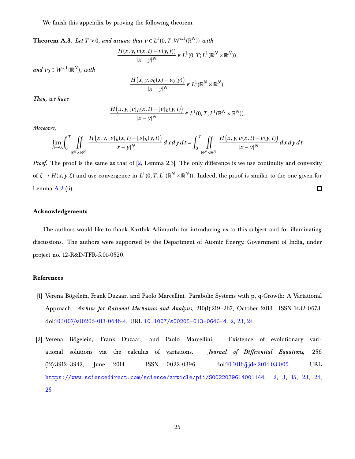<span id="page-24-3"></span><span id="page-24-2"></span>We finish this appendix by proving the following theorem.

**Theorem A.3.** *Let*  $T > 0$ *, and assume that*  $v \in L^1(0, T; W^{s,1}(\mathbb{R}^N))$  *with* 

$$
\frac{H(x, y, v(x, t) - v(y, t))}{|x - y|^N} \in L^1(0, T; L^1(\mathbb{R}^N \times \mathbb{R}^N)),
$$

 $and v_0 \in W^{s,1}(\mathbb{R}^N)$ *, with* 

$$
\frac{H(x, y, \nu_0(x) - \nu_0(y))}{|x - y|^N} \in L^1(\mathbb{R}^N \times \mathbb{R}^N).
$$

*Then, we have*

$$
\frac{H(x, y, [v]_h(x, t) - [v]_h(y, t))}{|x - y|^N} \in L^1(0, T; L^1(\mathbb{R}^N \times \mathbb{R}^N)).
$$

*Moreover,*

$$
\lim_{h\to 0}\int_0^T\iint_{\mathbb{R}^N\times\mathbb{R}^N}\frac{H(x,y,[v]_h(x,t)-[v]_h(y,t))}{|x-y|^N}dx\,dy\,dt=\int_0^T\iint_{\mathbb{R}^N\times\mathbb{R}^N}\frac{H(x,y,[v(x,t)-v(y,t))}{|x-y|^N}dx\,dy\,dt
$$

*Proof.* The proof is the same as that of [\[2](#page-24-0), Lemma 2.3]. The only difference is we use continuity and convexity of  $\xi \to H(x, y, \xi)$  and use convergence in  $L^1(0, T; L^1(\mathbb{R}^N \times \mathbb{R}^N))$ . Indeed, the proof is similar to the one given for Lemma [A.2](#page-22-0) (ii).  $\Box$ 

# **Acknowledgements**

The authors would like to thank Karthik Adimurthi for introducing us to this subject and for illuminating discussions. The authors were supported by the Department of Atomic Energy, Government of India, under project no. 12-R&D-TFR-5.01-0520.

## **References**

- <span id="page-24-1"></span>[1] Verena Bögelein, Frank Duzaar, and Paolo Marcellini. Parabolic Systems with p, q-Growth: A Variational Approach. *Archive for Rational Mechanics and Analysis*, 210(1):219–267, October 2013. ISSN 1432-0673. doi[:10.1007/s00205-013-0646-4.](https://doi.org/10.1007/s00205-013-0646-4) URL <10.1007/s00205-013-0646-4>. [2,](#page-1-3) [23,](#page-22-2) [24](#page-23-0)
- <span id="page-24-0"></span>[2] Verena Bögelein, Frank Duzaar, and Paolo Marcellini. Existence of evolutionary variational solutions via the calculus of variations. *Journal of Differential Equations*, 256 (12):3912–3942, June 2014. ISSN 0022-0396. doi[:10.1016/j.jde.2014.03.005.](https://doi.org/10.1016/j.jde.2014.03.005) URL <https://www.sciencedirect.com/science/article/pii/S0022039614001144>. [2,](#page-1-3) [3,](#page-2-3) [15,](#page-14-3) [23,](#page-22-2) [24,](#page-23-0) [25](#page-24-3)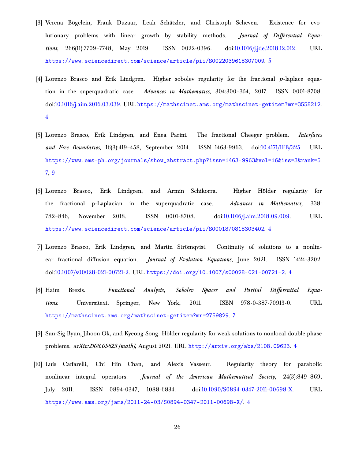- <span id="page-25-5"></span>[3] Verena Bögelein, Frank Duzaar, Leah Schätzler, and Christoph Scheven. Existence for evolutionary problems with linear growth by stability methods. *Journal of Differential Equations*, 266(11):7709–7748, May 2019. ISSN 0022-0396. doi[:10.1016/j.jde.2018.12.012.](https://doi.org/10.1016/j.jde.2018.12.012) URL <https://www.sciencedirect.com/science/article/pii/S0022039618307009>. [5](#page-4-5)
- <span id="page-25-0"></span>[4] Lorenzo Brasco and Erik Lindgren. Higher sobolev regularity for the fractional *p*-laplace equation in the superquadratic case. *Advances in Mathematics*, 304:300–354, 2017. ISSN 0001-8708. doi[:10.1016/j.aim.2016.03.039.](https://doi.org/10.1016/j.aim.2016.03.039) URL <https://mathscinet.ams.org/mathscinet-getitem?mr=3558212>. [4](#page-3-3)
- <span id="page-25-7"></span>[5] Lorenzo Brasco, Erik Lindgren, and Enea Parini. The fractional Cheeger problem. *Interfaces and Free Boundaries*, 16(3):419–458, September 2014. ISSN 1463-9963. doi[:10.4171/IFB/325.](https://doi.org/10.4171/IFB/325) URL [https://www.ems-ph.org/journals/show\\_abstract.php?issn=1463-9963&vol=16&iss=3&rank=5](https://www.ems-ph.org/journals/show_abstract.php?issn=1463-9963&vol=16&iss=3&rank=5). [7,](#page-6-5) [9](#page-8-4)
- <span id="page-25-1"></span>[6] Lorenzo Brasco, Erik Lindgren, and Armin Schikorra. Higher Hölder regularity for the fractional p-Laplacian in the superquadratic case. *Advances in Mathematics*, 338: 782–846, November 2018. ISSN 0001-8708. doi[:10.1016/j.aim.2018.09.009.](https://doi.org/10.1016/j.aim.2018.09.009) URL <https://www.sciencedirect.com/science/article/pii/S0001870818303402>. [4](#page-3-3)
- <span id="page-25-4"></span>[7] Lorenzo Brasco, Erik Lindgren, and Martin Strömqvist. Continuity of solutions to a nonlinear fractional diffusion equation. *Journal of Evolution Equations*, June 2021. ISSN 1424-3202. doi[:10.1007/s00028-021-00721-2.](https://doi.org/10.1007/s00028-021-00721-2) URL <https://doi.org/10.1007/s00028-021-00721-2>. [4](#page-3-3)
- <span id="page-25-6"></span>[8] Haim Brezis. *Functional Analysis, Sobolev Spaces and Partial Differential Equations*. Universitext. Springer, New York, 2011. ISBN 978-0-387-70913-0. URL <https://mathscinet.ams.org/mathscinet-getitem?mr=2759829>. [7](#page-6-5)
- <span id="page-25-2"></span>[9] Sun-Sig Byun, Jihoon Ok, and Kyeong Song. Hölder regularity for weak solutions to nonlocal double phase problems. *arXiv:2108.09623 [math]*, August 2021. URL <http://arxiv.org/abs/2108.09623>. [4](#page-3-3)
- <span id="page-25-3"></span>[10] Luis Caffarelli, Chi Hin Chan, and Alexis Vasseur. Regularity theory for parabolic nonlinear integral operators. *Journal of the American Mathematical Society*, 24(3):849–869, July 2011. ISSN 0894-0347, 1088-6834. doi[:10.1090/S0894-0347-2011-00698-X.](https://doi.org/10.1090/S0894-0347-2011-00698-X) URL <https://www.ams.org/jams/2011-24-03/S0894-0347-2011-00698-X/>. [4](#page-3-3)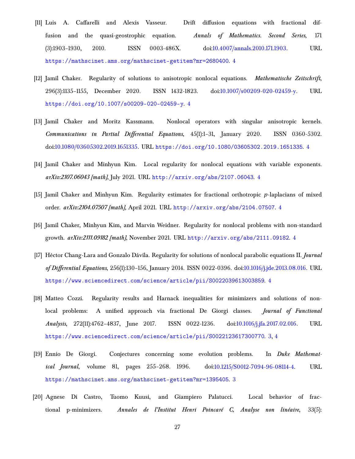- <span id="page-26-8"></span>[11] Luis A. Caffarelli and Alexis Vasseur. Drift diffusion equations with fractional diffusion and the quasi-geostrophic equation. *Annals of Mathematics. Second Series*, 171 (3):1903–1930, 2010. ISSN 0003-486X. doi[:10.4007/annals.2010.171.1903.](https://doi.org/10.4007/annals.2010.171.1903) URL <https://mathscinet.ams.org/mathscinet-getitem?mr=2680400>. [4](#page-3-3)
- <span id="page-26-3"></span>[12] Jamil Chaker. Regularity of solutions to anisotropic nonlocal equations. *Mathematische Zeitschrift*, 296(3):1135–1155, December 2020. ISSN 1432-1823. doi[:10.1007/s00209-020-02459-y.](https://doi.org/10.1007/s00209-020-02459-y) URL <https://doi.org/10.1007/s00209-020-02459-y>. [4](#page-3-3)
- <span id="page-26-5"></span>[13] Jamil Chaker and Moritz Kassmann. Nonlocal operators with singular anisotropic kernels. *Communications in Partial Differential Equations*, 45(1):1–31, January 2020. ISSN 0360-5302. doi[:10.1080/03605302.2019.1651335.](https://doi.org/10.1080/03605302.2019.1651335) URL <https://doi.org/10.1080/03605302.2019.1651335>. [4](#page-3-3)
- <span id="page-26-6"></span>[14] Jamil Chaker and Minhyun Kim. Local regularity for nonlocal equations with variable exponents. *arXiv:2107.06043 [math]*, July 2021. URL <http://arxiv.org/abs/2107.06043>. [4](#page-3-3)
- <span id="page-26-4"></span>[15] Jamil Chaker and Minhyun Kim. Regularity estimates for fractional orthotropic *p*-laplacians of mixed order. *arXiv:2104.07507 [math]*, April 2021. URL <http://arxiv.org/abs/2104.07507>. [4](#page-3-3)
- <span id="page-26-7"></span>[16] Jamil Chaker, Minhyun Kim, and Marvin Weidner. Regularity for nonlocal problems with non-standard growth. *arXiv:2111.09182 [math]*, November 2021. URL <http://arxiv.org/abs/2111.09182>. [4](#page-3-3)
- <span id="page-26-9"></span>[17] Héctor Chang-Lara and Gonzalo Dávila. Regularity for solutions of nonlocal parabolic equations II. *Journal of Differential Equations*, 256(1):130–156, January 2014. ISSN 0022-0396. doi[:10.1016/j.jde.2013.08.016.](https://doi.org/10.1016/j.jde.2013.08.016) URL <https://www.sciencedirect.com/science/article/pii/S0022039613003859>. [4](#page-3-3)
- <span id="page-26-2"></span>[18] Matteo Cozzi. Regularity results and Harnack inequalities for minimizers and solutions of nonlocal problems: A unified approach via fractional De Giorgi classes. *Journal of Functional Analysis*, 272(11):4762–4837, June 2017. ISSN 0022-1236. doi[:10.1016/j.jfa.2017.02.016.](https://doi.org/10.1016/j.jfa.2017.02.016) URL <https://www.sciencedirect.com/science/article/pii/S0022123617300770>. [3,](#page-2-3) [4](#page-3-3)
- <span id="page-26-0"></span>[19] Ennio De Giorgi. Conjectures concerning some evolution problems. In *Duke Mathematical Journal*, volume 81, pages 255–268. 1996. doi[:10.1215/S0012-7094-96-08114-4.](https://doi.org/10.1215/S0012-7094-96-08114-4) URL <https://mathscinet.ams.org/mathscinet-getitem?mr=1395405>. [3](#page-2-3)
- <span id="page-26-1"></span>[20] Agnese Di Castro, Tuomo Kuusi, and Giampiero Palatucci. Local behavior of fractional p-minimizers. *Annales de l'Institut Henri Poincaré C, Analyse non linéaire*, 33(5):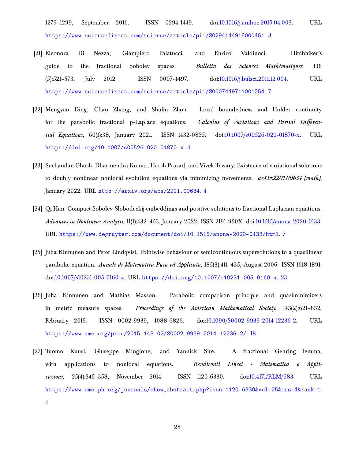1279–1299, September 2016. ISSN 0294-1449. doi[:10.1016/j.anihpc.2015.04.003.](https://doi.org/10.1016/j.anihpc.2015.04.003) URL <https://www.sciencedirect.com/science/article/pii/S0294144915000451>. [3](#page-2-3)

- <span id="page-27-3"></span>[21] Eleonora Di Nezza, Giampiero Palatucci, and Enrico Valdinoci. Hitchhiker's guide to the fractional Sobolev spaces. *Bulletin des Sciences Mathématiques*, 136 (5):521–573, July 2012. ISSN 0007-4497. doi[:10.1016/j.bulsci.2011.12.004.](https://doi.org/10.1016/j.bulsci.2011.12.004) URL <https://www.sciencedirect.com/science/article/pii/S0007449711001254>. [7](#page-6-5)
- <span id="page-27-1"></span>[22] Mengyao Ding, Chao Zhang, and Shulin Zhou. Local boundedness and Hölder continuity for the parabolic fractional p-Laplace equations. *Calculus of Variations and Partial Differential Equations*, 60(1):38, January 2021. ISSN 1432-0835. doi[:10.1007/s00526-020-01870-x.](https://doi.org/10.1007/s00526-020-01870-x) URL <https://doi.org/10.1007/s00526-020-01870-x>. [4](#page-3-3)
- <span id="page-27-2"></span>[23] Suchandan Ghosh, Dharmendra Kumar, Harsh Prasad, and Vivek Tewary. Existence of variational solutions to doubly nonlinear nonlocal evolution equations via minimizing movements. *arXiv:2201.00634 [math]*, January 2022. URL <http://arxiv.org/abs/2201.00634>. [4](#page-3-3)
- <span id="page-27-4"></span>[24] Qi Han. Compact Sobolev-Slobodeckij embeddings and positive solutions to fractional Laplacian equations. *Advances in Nonlinear Analysis*, 11(1):432–453, January 2022. ISSN 2191-950X. doi[:10.1515/anona-2020-0133.](https://doi.org/10.1515/anona-2020-0133) URL <https://www.degruyter.com/document/doi/10.1515/anona-2020-0133/html>. [7](#page-6-5)
- <span id="page-27-6"></span>[25] Juha Kinnunen and Peter Lindqvist. Pointwise behaviour of semicontinuous supersolutions to a quasilinear parabolic equation. *Annali di Matematica Pura ed Applicata*, 185(3):411–435, August 2006. ISSN 1618-1891. doi[:10.1007/s10231-005-0160-x.](https://doi.org/10.1007/s10231-005-0160-x) URL <https://doi.org/10.1007/s10231-005-0160-x>. [23](#page-22-2)
- <span id="page-27-5"></span>[26] Juha Kinnunen and Mathias Masson. Parabolic comparison principle and quasiminimizers in metric measure spaces. *Proceedings of the American Mathematical Society*, 143(2):621–632, February 2015. ISSN 0002-9939, 1088-6826. doi[:10.1090/S0002-9939-2014-12236-2.](https://doi.org/10.1090/S0002-9939-2014-12236-2) URL <https://www.ams.org/proc/2015-143-02/S0002-9939-2014-12236-2/>. [18](#page-17-3)
- <span id="page-27-0"></span>[27] Tuomo Kuusi, Giuseppe Mingione, and Yannick Sire. A fractional Gehring lemma, with applications to nonlocal equations. *Rendiconti Lincei - Matematica e Applicazioni*, 25(4):345–358, November 2014. ISSN 1120-6330. doi[:10.4171/RLM/683.](https://doi.org/10.4171/RLM/683) URL [https://www.ems-ph.org/journals/show\\_abstract.php?issn=1120-6330&vol=25&iss=4&rank=1](https://www.ems-ph.org/journals/show_abstract.php?issn=1120-6330&vol=25&iss=4&rank=1). [4](#page-3-3)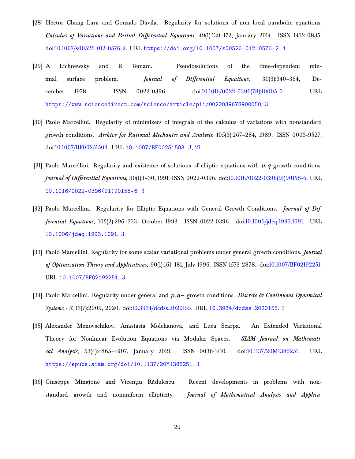- <span id="page-28-8"></span>[28] Héctor Chang Lara and Gonzalo Dávila. Regularity for solutions of non local parabolic equations. *Calculus of Variations and Partial Differential Equations*, 49(1):139–172, January 2014. ISSN 1432-0835. doi[:10.1007/s00526-012-0576-2.](https://doi.org/10.1007/s00526-012-0576-2) URL <https://doi.org/10.1007/s00526-012-0576-2>. [4](#page-3-3)
- <span id="page-28-0"></span>[29] A Lichnewsky and R Temam. Pseudosolutions of the time-dependent minimal surface problem. *Journal of Differential Equations*, 30(3):340–364, December 1978. ISSN 0022-0396. doi[:10.1016/0022-0396\(78\)90005-0.](https://doi.org/10.1016/0022-0396(78)90005-0) URL <https://www.sciencedirect.com/science/article/pii/0022039678900050>. [3](#page-2-3)
- <span id="page-28-2"></span>[30] Paolo Marcellini. Regularity of minimizers of integrals of the calculus of variations with nonstandard growth conditions. *Archive for Rational Mechanics and Analysis*, 105(3):267–284, 1989. ISSN 0003-9527. doi[:10.1007/BF00251503.](https://doi.org/10.1007/BF00251503) URL <10.1007/BF00251503>. [3,](#page-2-3) [21](#page-20-2)
- <span id="page-28-3"></span>[31] Paolo Marcellini. Regularity and existence of solutions of elliptic equations with *p*,*q*-growth conditions. *Journal of Differential Equations*, 90(1):1–30, 1991. ISSN 0022-0396. doi[:10.1016/0022-0396\(91\)90158-6.](https://doi.org/10.1016/0022-0396(91)90158-6) URL [10.1016/0022-0396\(91\)90158-6](10.1016/0022-0396(91)90158-6). [3](#page-2-3)
- <span id="page-28-4"></span>[32] Paolo Marcellini. Regularity for Elliptic Equations with General Growth Conditions. *Journal of Differential Equations*, 105(2):296–333, October 1993. ISSN 0022-0396. doi[:10.1006/jdeq.1993.1091.](https://doi.org/10.1006/jdeq.1993.1091) URL <10.1006/jdeq.1993.1091>. [3](#page-2-3)
- <span id="page-28-5"></span>[33] Paolo Marcellini. Regularity for some scalar variational problems under general growth conditions. *Journal of Optimization Theory and Applications*, 90(1):161–181, July 1996. ISSN 1573-2878. doi[:10.1007/BF02192251.](https://doi.org/10.1007/BF02192251) URL <10.1007/BF02192251>. [3](#page-2-3)
- <span id="page-28-6"></span>[34] Paolo Marcellini. Regularity under general and *p*,*q*− growth conditions. *Discrete & Continuous Dynamical Systems - S*, 13(7):2009, 2020. doi[:10.3934/dcdss.2020155.](https://doi.org/10.3934/dcdss.2020155) URL <10.3934/dcdss.2020155>. [3](#page-2-3)
- <span id="page-28-1"></span>[35] Alexander Menovschikov, Anastasia Molchanova, and Luca Scarpa. An Extended Variational Theory for Nonlinear Evolution Equations via Modular Spaces. *SIAM Journal on Mathematical Analysis*, 53(4):4865–4907, January 2021. ISSN 0036-1410. doi[:10.1137/20M1385251.](https://doi.org/10.1137/20M1385251) URL <https://epubs.siam.org/doi/10.1137/20M1385251>. [3](#page-2-3)
- <span id="page-28-7"></span>[36] Giuseppe Mingione and Vicențiu Rădulescu. Recent developments in problems with nonstandard growth and nonuniform ellipticity. *Journal of Mathematical Analysis and Applica-*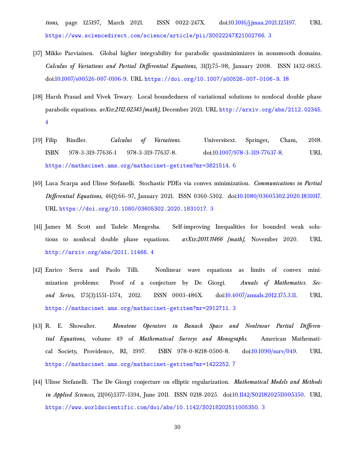*tions*, page 125197, March 2021. ISSN 0022-247X. doi[:10.1016/j.jmaa.2021.125197.](https://doi.org/10.1016/j.jmaa.2021.125197) URL <https://www.sciencedirect.com/science/article/pii/S0022247X21002766>. [3](#page-2-3)

- <span id="page-29-7"></span>[37] Mikko Parviainen. Global higher integrability for parabolic quasiminimizers in nonsmooth domains. *Calculus of Variations and Partial Differential Equations*, 31(1):75–98, January 2008. ISSN 1432-0835. doi[:10.1007/s00526-007-0106-9.](https://doi.org/10.1007/s00526-007-0106-9) URL <https://doi.org/10.1007/s00526-007-0106-9>. [18](#page-17-3)
- <span id="page-29-4"></span>[38] Harsh Prasad and Vivek Tewary. Local boundedness of variational solutions to nonlocal double phase parabolic equations. *arXiv:2112.02345 [math]*, December 2021. URL <http://arxiv.org/abs/2112.02345>. [4](#page-3-3)
- <span id="page-29-5"></span>[39] Filip Rindler. *Calculus of Variations*. Universitext. Springer, Cham, 2018. ISBN 978-3-319-77636-1 978-3-319-77637-8. doi[:10.1007/978-3-319-77637-8.](https://doi.org/10.1007/978-3-319-77637-8) URL <https://mathscinet.ams.org/mathscinet-getitem?mr=3821514>. [6](#page-5-4)
- <span id="page-29-2"></span>[40] Luca Scarpa and Ulisse Stefanelli. Stochastic PDEs via convex minimization. *Communications in Partial Differential Equations*, 46(1):66–97, January 2021. ISSN 0360-5302. doi[:10.1080/03605302.2020.1831017.](https://doi.org/10.1080/03605302.2020.1831017) URL <https://doi.org/10.1080/03605302.2020.1831017>. [3](#page-2-3)
- <span id="page-29-3"></span>[41] James M. Scott and Tadele Mengesha. Self-improving Inequalities for bounded weak solutions to nonlocal double phase equations. *arXiv:2011.11466 [math]*, November 2020. URL <http://arxiv.org/abs/2011.11466>. [4](#page-3-3)
- <span id="page-29-1"></span>[42] Enrico Serra and Paolo Tilli. Nonlinear wave equations as limits of convex minimization problems: Proof of a conjecture by De Giorgi. *Annals of Mathematics. Second Series*, 175(3):1551–1574, 2012. ISSN 0003-486X. doi[:10.4007/annals.2012.175.3.11.](https://doi.org/10.4007/annals.2012.175.3.11) URL <https://mathscinet.ams.org/mathscinet-getitem?mr=2912711>. [3](#page-2-3)
- <span id="page-29-6"></span>[43] R. E. Showalter. *Monotone Operators in Banach Space and Nonlinear Partial Differential Equations*, volume 49 of *Mathematical Surveys and Monographs*. American Mathematical Society, Providence, RI, 1997. ISBN 978-0-8218-0500-8. doi[:10.1090/surv/049.](https://doi.org/10.1090/surv/049) URL <https://mathscinet.ams.org/mathscinet-getitem?mr=1422252>. [7](#page-6-5)
- <span id="page-29-0"></span>[44] Ulisse Stefanelli. The De Giorgi conjecture on elliptic regularization. *Mathematical Models and Methods in Applied Sciences*, 21(06):1377–1394, June 2011. ISSN 0218-2025. doi[:10.1142/S0218202511005350.](https://doi.org/10.1142/S0218202511005350) URL <https://www.worldscientific.com/doi/abs/10.1142/S0218202511005350>. [3](#page-2-3)